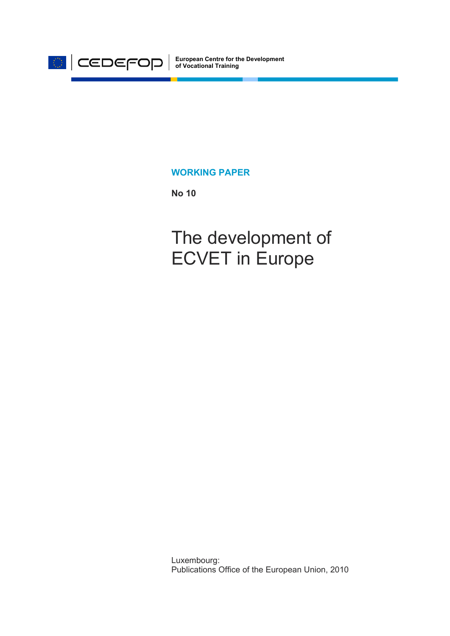

**European Centre for the Development of Vocational Training**

#### **WORKING PAPER**

**No 10** 

The development of ECVET in Europe

Luxembourg: Publications Office of the European Union, 2010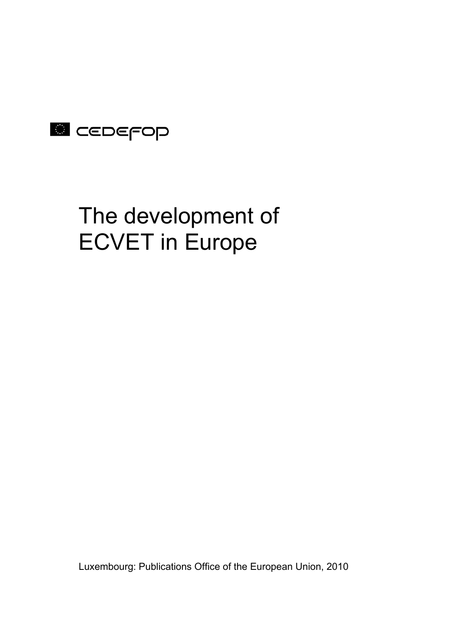## **E** CEDEFOP

# The development of ECVET in Europe

Luxembourg: Publications Office of the European Union, 2010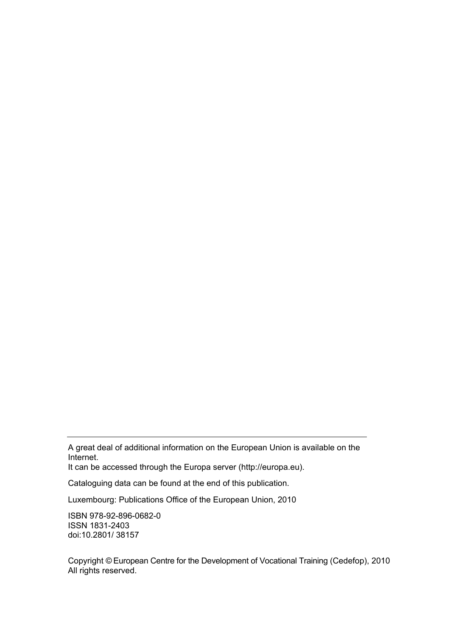A great deal of additional information on the European Union is available on the Internet.

It can be accessed through the Europa server (http://europa.eu).

Cataloguing data can be found at the end of this publication.

Luxembourg: Publications Office of the European Union, 2010

ISBN 978-92-896-0682-0 ISSN 1831-2403 doi:10.2801/ 38157

Copyright © European Centre for the Development of Vocational Training (Cedefop), 2010 All rights reserved.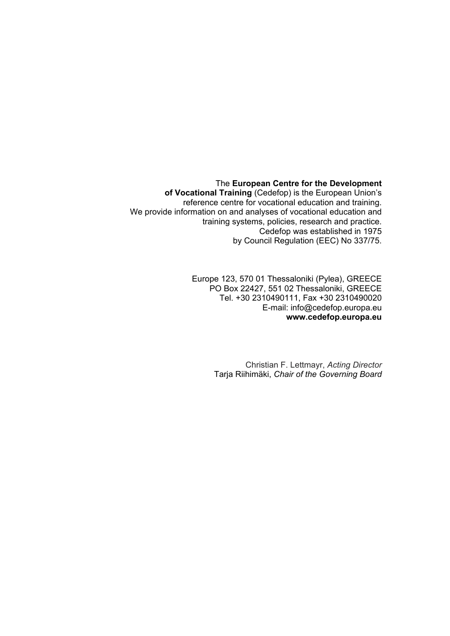The **European Centre for the Development** 

**of Vocational Training** (Cedefop) is the European Union's reference centre for vocational education and training. We provide information on and analyses of vocational education and training systems, policies, research and practice. Cedefop was established in 1975 by Council Regulation (EEC) No 337/75.

> Europe 123, 570 01 Thessaloniki (Pylea), GREECE PO Box 22427, 551 02 Thessaloniki, GREECE Tel. +30 2310490111, Fax +30 2310490020 E-mail: info@cedefop.europa.eu **www.cedefop.europa.eu**

> > Christian F. Lettmayr, *Acting Director*  Tarja Riihimäki, *Chair of the Governing Board*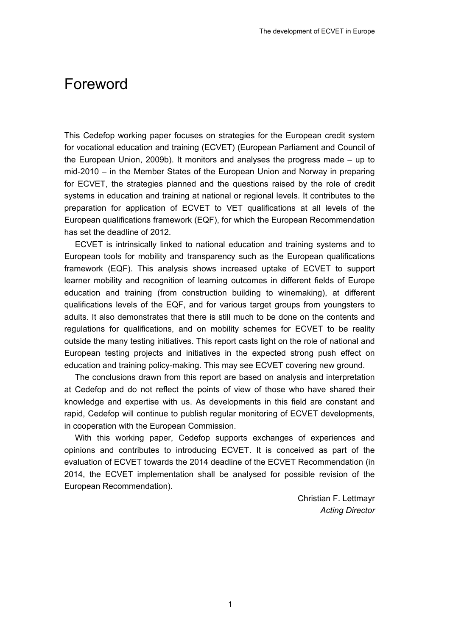## <span id="page-6-0"></span>Foreword

This Cedefop working paper focuses on strategies for the European credit system for vocational education and training (ECVET) (European Parliament and Council of the European Union, 2009b). It monitors and analyses the progress made – up to mid-2010 – in the Member States of the European Union and Norway in preparing for ECVET, the strategies planned and the questions raised by the role of credit systems in education and training at national or regional levels. It contributes to the preparation for application of ECVET to VET qualifications at all levels of the European qualifications framework (EQF), for which the European Recommendation has set the deadline of 2012.

ECVET is intrinsically linked to national education and training systems and to European tools for mobility and transparency such as the European qualifications framework (EQF). This analysis shows increased uptake of ECVET to support learner mobility and recognition of learning outcomes in different fields of Europe education and training (from construction building to winemaking), at different qualifications levels of the EQF, and for various target groups from youngsters to adults. It also demonstrates that there is still much to be done on the contents and regulations for qualifications, and on mobility schemes for ECVET to be reality outside the many testing initiatives. This report casts light on the role of national and European testing projects and initiatives in the expected strong push effect on education and training policy-making. This may see ECVET covering new ground.

The conclusions drawn from this report are based on analysis and interpretation at Cedefop and do not reflect the points of view of those who have shared their knowledge and expertise with us. As developments in this field are constant and rapid, Cedefop will continue to publish regular monitoring of ECVET developments, in cooperation with the European Commission.

With this working paper, Cedefop supports exchanges of experiences and opinions and contributes to introducing ECVET. It is conceived as part of the evaluation of ECVET towards the 2014 deadline of the ECVET Recommendation (in 2014, the ECVET implementation shall be analysed for possible revision of the European Recommendation).

> Christian F. Lettmayr *Acting Director*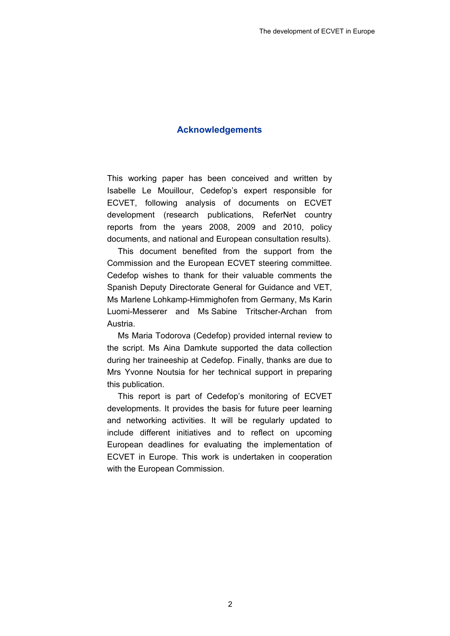#### **Acknowledgements**

<span id="page-7-0"></span>This working paper has been conceived and written by Isabelle Le Mouillour, Cedefop's expert responsible for ECVET, following analysis of documents on ECVET development (research publications, ReferNet country reports from the years 2008, 2009 and 2010, policy documents, and national and European consultation results).

This document benefited from the support from the Commission and the European ECVET steering committee. Cedefop wishes to thank for their valuable comments the Spanish Deputy Directorate General for Guidance and VET, Ms Marlene Lohkamp-Himmighofen from Germany, Ms Karin Luomi-Messerer and Ms Sabine Tritscher-Archan from Austria.

Ms Maria Todorova (Cedefop) provided internal review to the script. Ms Aina Damkute supported the data collection during her traineeship at Cedefop. Finally, thanks are due to Mrs Yvonne Noutsia for her technical support in preparing this publication.

This report is part of Cedefop's monitoring of ECVET developments. It provides the basis for future peer learning and networking activities. It will be regularly updated to include different initiatives and to reflect on upcoming European deadlines for evaluating the implementation of ECVET in Europe. This work is undertaken in cooperation with the European Commission.

2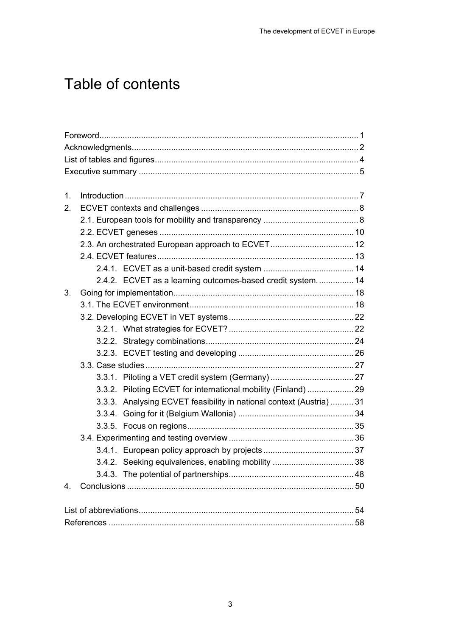## Table of contents

| 1.      |                                                                      |  |
|---------|----------------------------------------------------------------------|--|
| $2_{-}$ |                                                                      |  |
|         |                                                                      |  |
|         |                                                                      |  |
|         |                                                                      |  |
|         |                                                                      |  |
|         |                                                                      |  |
|         | 2.4.2. ECVET as a learning outcomes-based credit system 14           |  |
| 3.      |                                                                      |  |
|         |                                                                      |  |
|         |                                                                      |  |
|         |                                                                      |  |
|         |                                                                      |  |
|         |                                                                      |  |
|         |                                                                      |  |
|         |                                                                      |  |
|         | 3.3.2. Piloting ECVET for international mobility (Finland)  29       |  |
|         | 3.3.3. Analysing ECVET feasibility in national context (Austria)  31 |  |
|         |                                                                      |  |
|         |                                                                      |  |
|         |                                                                      |  |
|         |                                                                      |  |
|         |                                                                      |  |
|         |                                                                      |  |
| 4.      |                                                                      |  |
|         |                                                                      |  |
|         |                                                                      |  |
|         |                                                                      |  |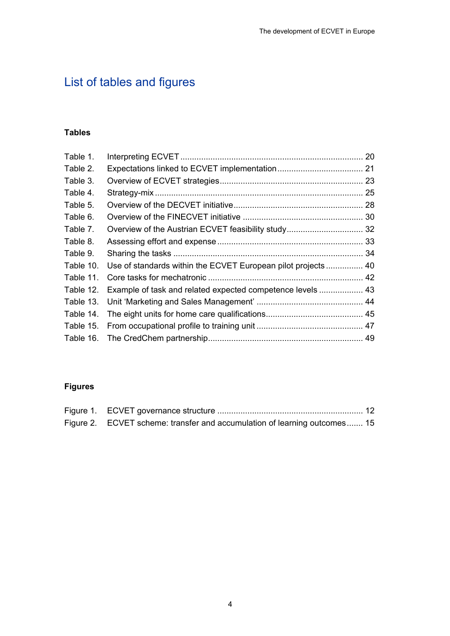## <span id="page-9-0"></span>List of tables and figures

### **Tables**

| Table 1.  |                                                            | 20 |
|-----------|------------------------------------------------------------|----|
| Table 2.  |                                                            |    |
| Table 3.  |                                                            |    |
| Table 4.  |                                                            |    |
| Table 5.  |                                                            |    |
| Table 6.  |                                                            |    |
| Table 7.  |                                                            |    |
| Table 8.  |                                                            |    |
| Table 9.  |                                                            |    |
| Table 10. |                                                            |    |
| Table 11. |                                                            |    |
| Table 12. | Example of task and related expected competence levels  43 |    |
| Table 13. |                                                            |    |
| Table 14. |                                                            |    |
| Table 15. |                                                            |    |
|           |                                                            |    |

## **Figures**

| Figure 2. ECVET scheme: transfer and accumulation of learning outcomes 15 |  |
|---------------------------------------------------------------------------|--|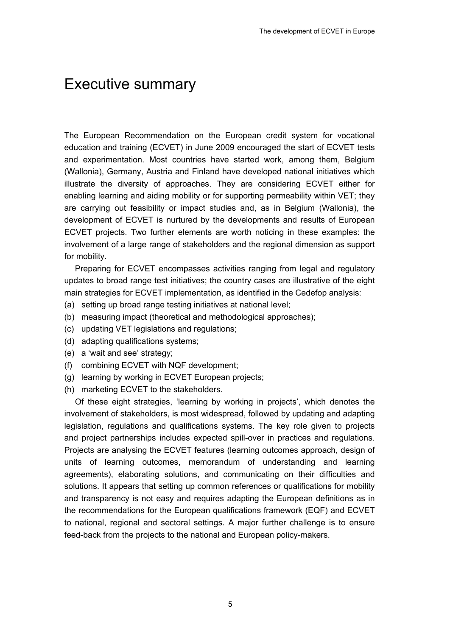## <span id="page-10-0"></span>Executive summary

The European Recommendation on the European credit system for vocational education and training (ECVET) in June 2009 encouraged the start of ECVET tests and experimentation. Most countries have started work, among them, Belgium (Wallonia), Germany, Austria and Finland have developed national initiatives which illustrate the diversity of approaches. They are considering ECVET either for enabling learning and aiding mobility or for supporting permeability within VET; they are carrying out feasibility or impact studies and, as in Belgium (Wallonia), the development of ECVET is nurtured by the developments and results of European ECVET projects. Two further elements are worth noticing in these examples: the involvement of a large range of stakeholders and the regional dimension as support for mobility.

Preparing for ECVET encompasses activities ranging from legal and regulatory updates to broad range test initiatives; the country cases are illustrative of the eight main strategies for ECVET implementation, as identified in the Cedefop analysis:

- (a) setting up broad range testing initiatives at national level;
- (b) measuring impact (theoretical and methodological approaches);
- (c) updating VET legislations and regulations;
- (d) adapting qualifications systems;
- (e) a 'wait and see' strategy;
- (f) combining ECVET with NQF development;
- (g) learning by working in ECVET European projects;
- (h) marketing ECVET to the stakeholders.

Of these eight strategies, 'learning by working in projects', which denotes the involvement of stakeholders, is most widespread, followed by updating and adapting legislation, regulations and qualifications systems. The key role given to projects and project partnerships includes expected spill-over in practices and regulations. Projects are analysing the ECVET features (learning outcomes approach, design of units of learning outcomes, memorandum of understanding and learning agreements), elaborating solutions, and communicating on their difficulties and solutions. It appears that setting up common references or qualifications for mobility and transparency is not easy and requires adapting the European definitions as in the recommendations for the European qualifications framework (EQF) and ECVET to national, regional and sectoral settings. A major further challenge is to ensure feed-back from the projects to the national and European policy-makers.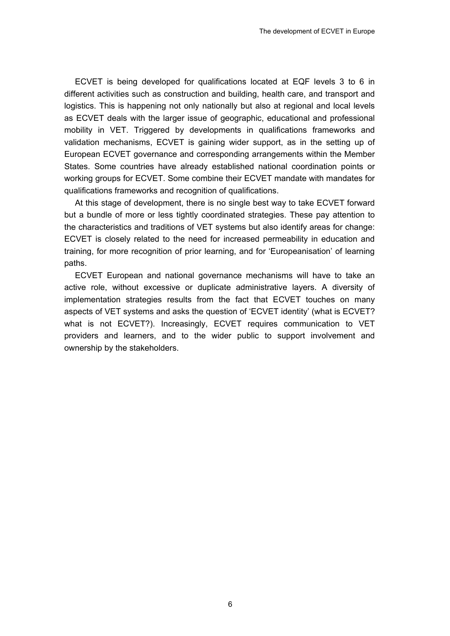ECVET is being developed for qualifications located at EQF levels 3 to 6 in different activities such as construction and building, health care, and transport and logistics. This is happening not only nationally but also at regional and local levels as ECVET deals with the larger issue of geographic, educational and professional mobility in VET. Triggered by developments in qualifications frameworks and validation mechanisms, ECVET is gaining wider support, as in the setting up of European ECVET governance and corresponding arrangements within the Member States. Some countries have already established national coordination points or working groups for ECVET. Some combine their ECVET mandate with mandates for qualifications frameworks and recognition of qualifications.

At this stage of development, there is no single best way to take ECVET forward but a bundle of more or less tightly coordinated strategies. These pay attention to the characteristics and traditions of VET systems but also identify areas for change: ECVET is closely related to the need for increased permeability in education and training, for more recognition of prior learning, and for 'Europeanisation' of learning paths.

ECVET European and national governance mechanisms will have to take an active role, without excessive or duplicate administrative layers. A diversity of implementation strategies results from the fact that ECVET touches on many aspects of VET systems and asks the question of 'ECVET identity' (what is ECVET? what is not ECVET?). Increasingly, ECVET requires communication to VET providers and learners, and to the wider public to support involvement and ownership by the stakeholders.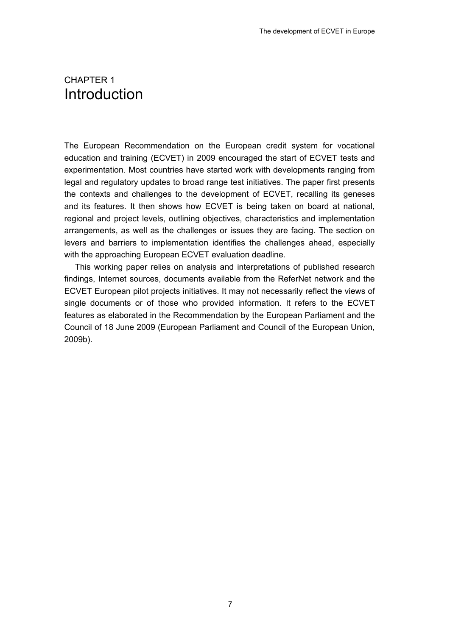## <span id="page-12-0"></span>CHAPTER 1 Introduction

The European Recommendation on the European credit system for vocational education and training (ECVET) in 2009 encouraged the start of ECVET tests and experimentation. Most countries have started work with developments ranging from legal and regulatory updates to broad range test initiatives. The paper first presents the contexts and challenges to the development of ECVET, recalling its geneses and its features. It then shows how ECVET is being taken on board at national, regional and project levels, outlining objectives, characteristics and implementation arrangements, as well as the challenges or issues they are facing. The section on levers and barriers to implementation identifies the challenges ahead, especially with the approaching European ECVET evaluation deadline.

This working paper relies on analysis and interpretations of published research findings, Internet sources, documents available from the ReferNet network and the ECVET European pilot projects initiatives. It may not necessarily reflect the views of single documents or of those who provided information. It refers to the ECVET features as elaborated in the Recommendation by the European Parliament and the Council of 18 June 2009 (European Parliament and Council of the European Union, 2009b).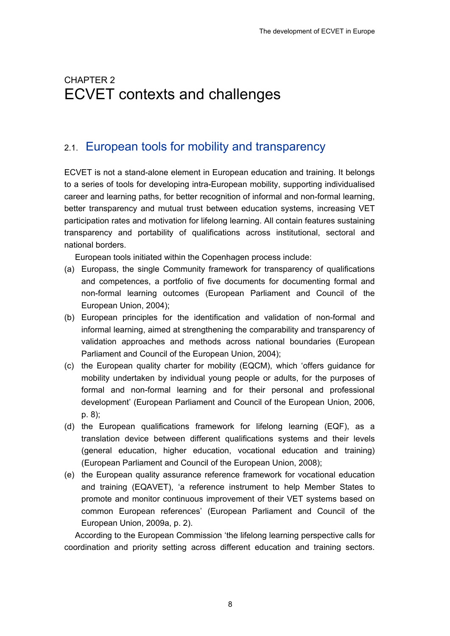## <span id="page-13-0"></span>2. CHAPTER 2 ECVET contexts and challenges

## 2.1. European tools for mobility and transparency

ECVET is not a stand-alone element in European education and training. It belongs to a series of tools for developing intra-European mobility, supporting individualised career and learning paths, for better recognition of informal and non-formal learning, better transparency and mutual trust between education systems, increasing VET participation rates and motivation for lifelong learning. All contain features sustaining transparency and portability of qualifications across institutional, sectoral and national borders.

European tools initiated within the Copenhagen process include:

- (a) Europass, the single Community framework for transparency of qualifications and competences, a portfolio of five documents for documenting formal and non-formal learning outcomes (European Parliament and Council of the European Union, 2004);
- (b) European principles for the identification and validation of non-formal and informal learning, aimed at strengthening the comparability and transparency of validation approaches and methods across national boundaries (European Parliament and Council of the European Union, 2004);
- (c) the European quality charter for mobility (EQCM), which 'offers guidance for mobility undertaken by individual young people or adults, for the purposes of formal and non-formal learning and for their personal and professional development' (European Parliament and Council of the European Union, 2006, p. 8);
- (d) the European qualifications framework for lifelong learning (EQF), as a translation device between different qualifications systems and their levels (general education, higher education, vocational education and training) (European Parliament and Council of the European Union, 2008);
- (e) the European quality assurance reference framework for vocational education and training (EQAVET), 'a reference instrument to help Member States to promote and monitor continuous improvement of their VET systems based on common European references' (European Parliament and Council of the European Union, 2009a, p. 2).

According to the European Commission 'the lifelong learning perspective calls for coordination and priority setting across different education and training sectors.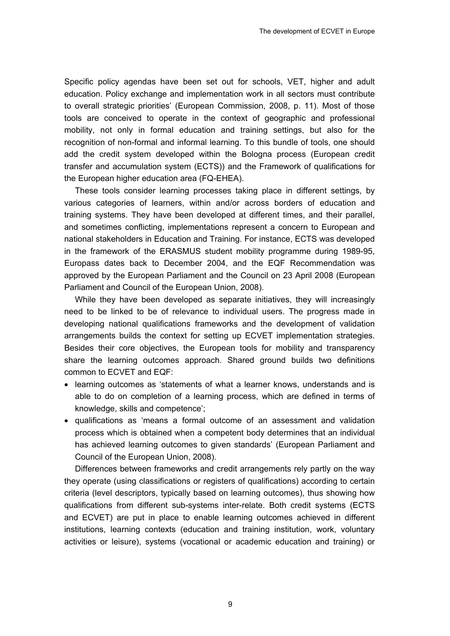Specific policy agendas have been set out for schools, VET, higher and adult education. Policy exchange and implementation work in all sectors must contribute to overall strategic priorities' (European Commission, 2008, p. 11). Most of those tools are conceived to operate in the context of geographic and professional mobility, not only in formal education and training settings, but also for the recognition of non-formal and informal learning. To this bundle of tools, one should add the credit system developed within the Bologna process (European credit transfer and accumulation system (ECTS)) and the Framework of qualifications for the European higher education area (FQ-EHEA).

These tools consider learning processes taking place in different settings, by various categories of learners, within and/or across borders of education and training systems. They have been developed at different times, and their parallel, and sometimes conflicting, implementations represent a concern to European and national stakeholders in Education and Training. For instance, ECTS was developed in the framework of the ERASMUS student mobility programme during 1989-95, Europass dates back to December 2004, and the EQF Recommendation was approved by the European Parliament and the Council on 23 April 2008 (European Parliament and Council of the European Union, 2008).

While they have been developed as separate initiatives, they will increasingly need to be linked to be of relevance to individual users. The progress made in developing national qualifications frameworks and the development of validation arrangements builds the context for setting up ECVET implementation strategies. Besides their core objectives, the European tools for mobility and transparency share the learning outcomes approach. Shared ground builds two definitions common to ECVET and EQF:

- learning outcomes as 'statements of what a learner knows, understands and is able to do on completion of a learning process, which are defined in terms of knowledge, skills and competence';
- qualifications as 'means a formal outcome of an assessment and validation process which is obtained when a competent body determines that an individual has achieved learning outcomes to given standards' (European Parliament and Council of the European Union, 2008).

Differences between frameworks and credit arrangements rely partly on the way they operate (using classifications or registers of qualifications) according to certain criteria (level descriptors, typically based on learning outcomes), thus showing how qualifications from different sub-systems inter-relate. Both credit systems (ECTS and ECVET) are put in place to enable learning outcomes achieved in different institutions, learning contexts (education and training institution, work, voluntary activities or leisure), systems (vocational or academic education and training) or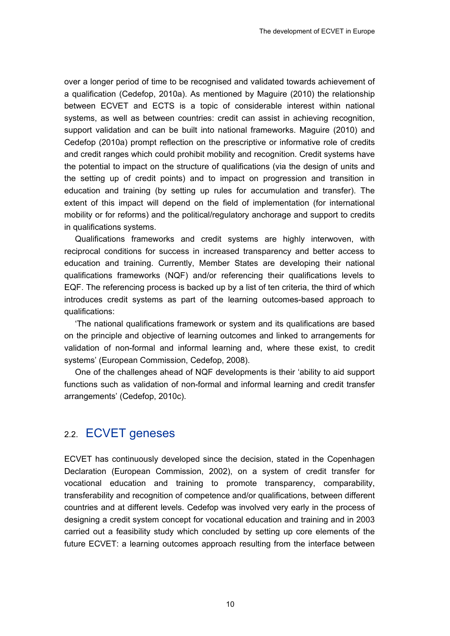<span id="page-15-0"></span>over a longer period of time to be recognised and validated towards achievement of a qualification (Cedefop, 2010a). As mentioned by Maguire (2010) the relationship between ECVET and ECTS is a topic of considerable interest within national systems, as well as between countries: credit can assist in achieving recognition, support validation and can be built into national frameworks. Maguire (2010) and Cedefop (2010a) prompt reflection on the prescriptive or informative role of credits and credit ranges which could prohibit mobility and recognition. Credit systems have the potential to impact on the structure of qualifications (via the design of units and the setting up of credit points) and to impact on progression and transition in education and training (by setting up rules for accumulation and transfer). The extent of this impact will depend on the field of implementation (for international mobility or for reforms) and the political/regulatory anchorage and support to credits in qualifications systems.

Qualifications frameworks and credit systems are highly interwoven, with reciprocal conditions for success in increased transparency and better access to education and training. Currently, Member States are developing their national qualifications frameworks (NQF) and/or referencing their qualifications levels to EQF. The referencing process is backed up by a list of ten criteria, the third of which introduces credit systems as part of the learning outcomes-based approach to qualifications:

'The national qualifications framework or system and its qualifications are based on the principle and objective of learning outcomes and linked to arrangements for validation of non-formal and informal learning and, where these exist, to credit systems' (European Commission, Cedefop, 2008).

One of the challenges ahead of NQF developments is their 'ability to aid support functions such as validation of non-formal and informal learning and credit transfer arrangements' (Cedefop, 2010c).

## 2.2. ECVET geneses

ECVET has continuously developed since the decision, stated in the Copenhagen Declaration (European Commission, 2002), on a system of credit transfer for vocational education and training to promote transparency, comparability, transferability and recognition of competence and/or qualifications, between different countries and at different levels. Cedefop was involved very early in the process of designing a credit system concept for vocational education and training and in 2003 carried out a feasibility study which concluded by setting up core elements of the future ECVET: a learning outcomes approach resulting from the interface between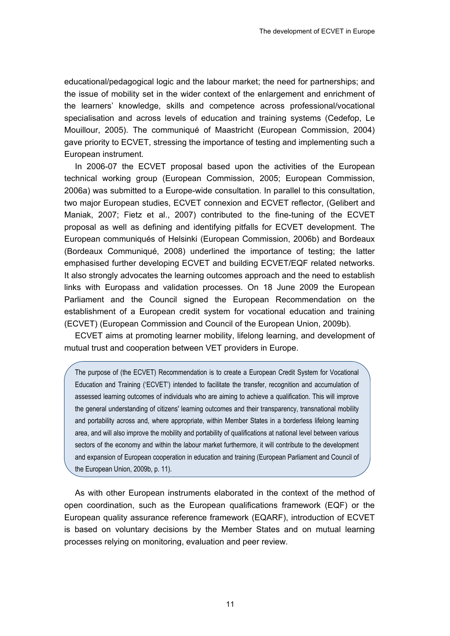educational/pedagogical logic and the labour market; the need for partnerships; and the issue of mobility set in the wider context of the enlargement and enrichment of the learners' knowledge, skills and competence across professional/vocational specialisation and across levels of education and training systems (Cedefop, Le Mouillour, 2005). The communiqué of Maastricht (European Commission, 2004) gave priority to ECVET, stressing the importance of testing and implementing such a European instrument.

In 2006-07 the ECVET proposal based upon the activities of the European technical working group (European Commission, 2005; European Commission, 2006a) was submitted to a Europe-wide consultation. In parallel to this consultation, two major European studies, ECVET connexion and ECVET reflector, (Gelibert and Maniak, 2007; Fietz et al., 2007) contributed to the fine-tuning of the ECVET proposal as well as defining and identifying pitfalls for ECVET development. The European communiqués of Helsinki (European Commission, 2006b) and Bordeaux (Bordeaux Communiqué, 2008) underlined the importance of testing; the latter emphasised further developing ECVET and building ECVET/EQF related networks. It also strongly advocates the learning outcomes approach and the need to establish links with Europass and validation processes. On 18 June 2009 the European Parliament and the Council signed the European Recommendation on the establishment of a European credit system for vocational education and training (ECVET) (European Commission and Council of the European Union, 2009b).

ECVET aims at promoting learner mobility, lifelong learning, and development of mutual trust and cooperation between VET providers in Europe.

The purpose of (the ECVET) Recommendation is to create a European Credit System for Vocational Education and Training ('ECVET') intended to facilitate the transfer, recognition and accumulation of assessed learning outcomes of individuals who are aiming to achieve a qualification. This will improve the general understanding of citizens′ learning outcomes and their transparency, transnational mobility and portability across and, where appropriate, within Member States in a borderless lifelong learning area, and will also improve the mobility and portability of qualifications at national level between various sectors of the economy and within the labour market furthermore, it will contribute to the development and expansion of European cooperation in education and training (European Parliament and Council of the European Union, 2009b, p. 11).

As with other European instruments elaborated in the context of the method of open coordination, such as the European qualifications framework (EQF) or the European quality assurance reference framework (EQARF), introduction of ECVET is based on voluntary decisions by the Member States and on mutual learning processes relying on monitoring, evaluation and peer review.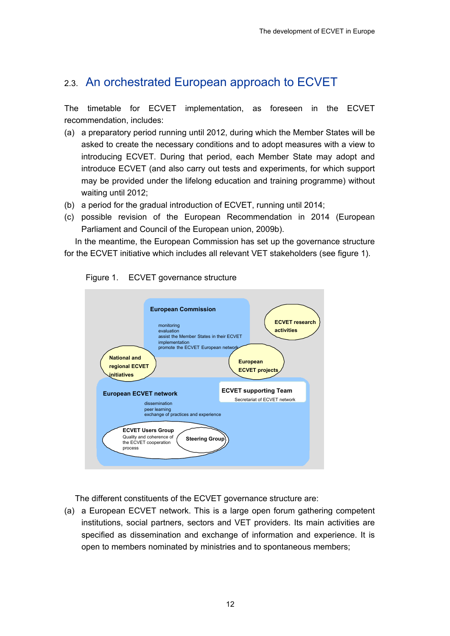## <span id="page-17-0"></span>2.3. An orchestrated European approach to ECVET

The timetable for ECVET implementation, as foreseen in the ECVET recommendation, includes:

- (a) a preparatory period running until 2012, during which the Member States will be asked to create the necessary conditions and to adopt measures with a view to introducing ECVET. During that period, each Member State may adopt and introduce ECVET (and also carry out tests and experiments, for which support may be provided under the lifelong education and training programme) without waiting until 2012;
- (b) a period for the gradual introduction of ECVET, running until 2014;
- (c) possible revision of the European Recommendation in 2014 (European Parliament and Council of the European union, 2009b).

In the meantime, the European Commission has set up the governance structure for the ECVET initiative which includes all relevant VET stakeholders (see figure 1).





The different constituents of the ECVET governance structure are:

(a) a European ECVET network. This is a large open forum gathering competent institutions, social partners, sectors and VET providers. Its main activities are specified as dissemination and exchange of information and experience. It is open to members nominated by ministries and to spontaneous members;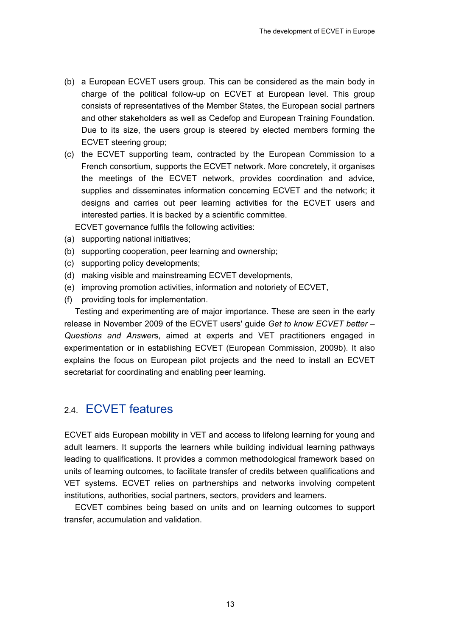- <span id="page-18-0"></span>(b) a European ECVET users group. This can be considered as the main body in charge of the political follow-up on ECVET at European level. This group consists of representatives of the Member States, the European social partners and other stakeholders as well as Cedefop and European Training Foundation. Due to its size, the users group is steered by elected members forming the ECVET steering group;
- (c) the ECVET supporting team, contracted by the European Commission to a French consortium, supports the ECVET network. More concretely, it organises the meetings of the ECVET network, provides coordination and advice, supplies and disseminates information concerning ECVET and the network; it designs and carries out peer learning activities for the ECVET users and interested parties. It is backed by a scientific committee.

ECVET governance fulfils the following activities:

- (a) supporting national initiatives;
- (b) supporting cooperation, peer learning and ownership;
- (c) supporting policy developments;
- (d) making visible and mainstreaming ECVET developments,
- (e) improving promotion activities, information and notoriety of ECVET,
- (f) providing tools for implementation.

Testing and experimenting are of major importance. These are seen in the early release in November 2009 of the ECVET users' guide *Get to know ECVET better – Questions and Answer*s, aimed at experts and VET practitioners engaged in experimentation or in establishing ECVET (European Commission, 2009b). It also explains the focus on European pilot projects and the need to install an ECVET secretariat for coordinating and enabling peer learning.

### 2.4. ECVET features

ECVET aids European mobility in VET and access to lifelong learning for young and adult learners. It supports the learners while building individual learning pathways leading to qualifications. It provides a common methodological framework based on units of learning outcomes, to facilitate transfer of credits between qualifications and VET systems. ECVET relies on partnerships and networks involving competent institutions, authorities, social partners, sectors, providers and learners.

ECVET combines being based on units and on learning outcomes to support transfer, accumulation and validation.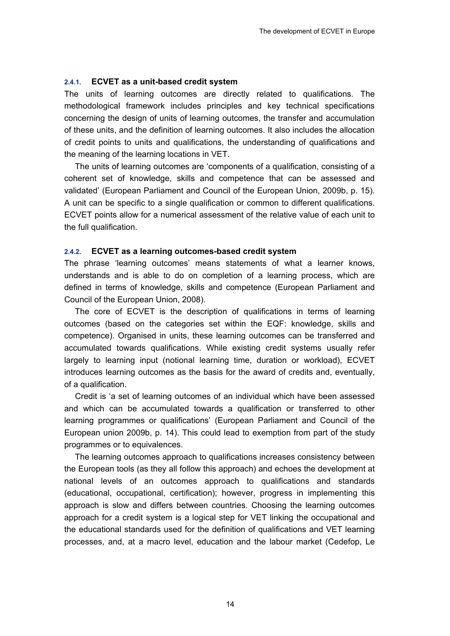#### <span id="page-19-0"></span>**2.4.1. ECVET as a unit-based credit system**

The units of learning outcomes are directly related to qualifications. The methodological framework includes principles and key technical specifications concerning the design of units of learning outcomes, the transfer and accumulation of these units, and the definition of learning outcomes. It also includes the allocation of credit points to units and qualifications, the understanding of qualifications and the meaning of the learning locations in VET.

The units of learning outcomes are 'components of a qualification, consisting of a coherent set of knowledge, skills and competence that can be assessed and validated' (European Parliament and Council of the European Union, 2009b, p. 15). A unit can be specific to a single qualification or common to different qualifications. ECVET points allow for a numerical assessment of the relative value of each unit to the full qualification.

#### **2.4.2. ECVET as a learning outcomes-based credit system**

The phrase 'learning outcomes' means statements of what a learner knows, understands and is able to do on completion of a learning process, which are defined in terms of knowledge, skills and competence (European Parliament and Council of the European Union, 2008).

The core of ECVET is the description of qualifications in terms of learning outcomes (based on the categories set within the EQF: knowledge, skills and competence). Organised in units, these learning outcomes can be transferred and accumulated towards qualifications. While existing credit systems usually refer largely to learning input (notional learning time, duration or workload), ECVET introduces learning outcomes as the basis for the award of credits and, eventually, of a qualification.

Credit is 'a set of learning outcomes of an individual which have been assessed and which can be accumulated towards a qualification or transferred to other learning programmes or qualifications' (European Parliament and Council of the European union 2009b, p. 14). This could lead to exemption from part of the study programmes or to equivalences.

The learning outcomes approach to qualifications increases consistency between the European tools (as they all follow this approach) and echoes the development at national levels of an outcomes approach to qualifications and standards (educational, occupational, certification); however, progress in implementing this approach is slow and differs between countries. Choosing the learning outcomes approach for a credit system is a logical step for VET linking the occupational and the educational standards used for the definition of qualifications and VET learning processes, and, at a macro level, education and the labour market (Cedefop, Le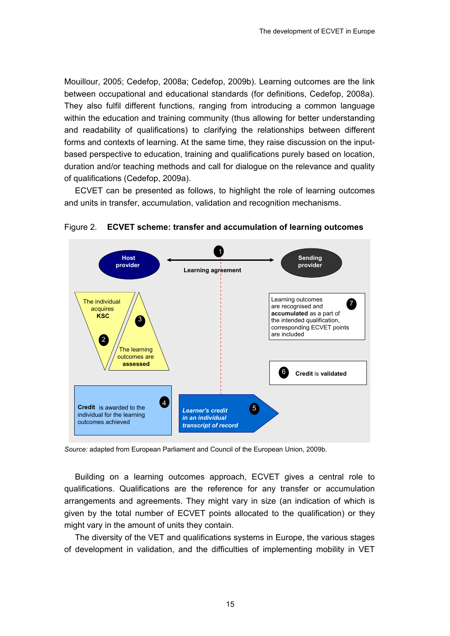<span id="page-20-0"></span>Mouillour, 2005; Cedefop, 2008a; Cedefop, 2009b). Learning outcomes are the link between occupational and educational standards (for definitions, Cedefop, 2008a). They also fulfil different functions, ranging from introducing a common language within the education and training community (thus allowing for better understanding and readability of qualifications) to clarifying the relationships between different forms and contexts of learning. At the same time, they raise discussion on the inputbased perspective to education, training and qualifications purely based on location, duration and/or teaching methods and call for dialogue on the relevance and quality of qualifications (Cedefop, 2009a).

ECVET can be presented as follows, to highlight the role of learning outcomes and units in transfer, accumulation, validation and recognition mechanisms.



#### Figure 2. **ECVET scheme: transfer and accumulation of learning outcomes**

*Source:* adapted from European Parliament and Council of the European Union, 2009b.

Building on a learning outcomes approach, ECVET gives a central role to qualifications. Qualifications are the reference for any transfer or accumulation arrangements and agreements. They might vary in size (an indication of which is given by the total number of ECVET points allocated to the qualification) or they might vary in the amount of units they contain.

The diversity of the VET and qualifications systems in Europe, the various stages of development in validation, and the difficulties of implementing mobility in VET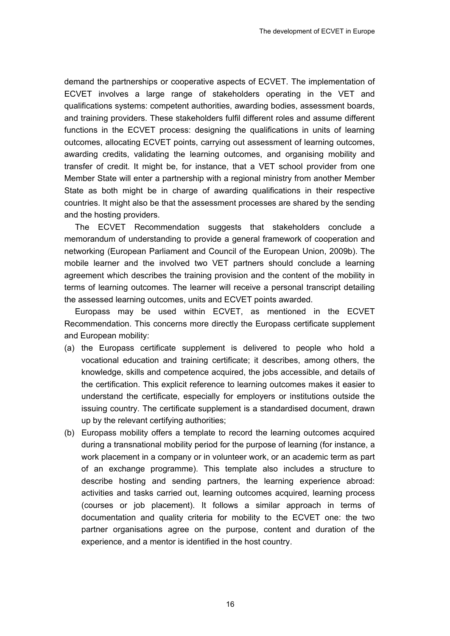demand the partnerships or cooperative aspects of ECVET. The implementation of ECVET involves a large range of stakeholders operating in the VET and qualifications systems: competent authorities, awarding bodies, assessment boards, and training providers. These stakeholders fulfil different roles and assume different functions in the ECVET process: designing the qualifications in units of learning outcomes, allocating ECVET points, carrying out assessment of learning outcomes, awarding credits, validating the learning outcomes, and organising mobility and transfer of credit. It might be, for instance, that a VET school provider from one Member State will enter a partnership with a regional ministry from another Member State as both might be in charge of awarding qualifications in their respective countries. It might also be that the assessment processes are shared by the sending and the hosting providers.

The ECVET Recommendation suggests that stakeholders conclude a memorandum of understanding to provide a general framework of cooperation and networking (European Parliament and Council of the European Union, 2009b). The mobile learner and the involved two VET partners should conclude a learning agreement which describes the training provision and the content of the mobility in terms of learning outcomes. The learner will receive a personal transcript detailing the assessed learning outcomes, units and ECVET points awarded.

Europass may be used within ECVET, as mentioned in the ECVET Recommendation. This concerns more directly the Europass certificate supplement and European mobility:

- (a) the Europass certificate supplement is delivered to people who hold a vocational education and training certificate; it describes, among others, the knowledge, skills and competence acquired, the jobs accessible, and details of the certification. This explicit reference to learning outcomes makes it easier to understand the certificate, especially for employers or institutions outside the issuing country. The certificate supplement is a standardised document, drawn up by the relevant certifying authorities;
- (b) Europass mobility offers a template to record the learning outcomes acquired during a transnational mobility period for the purpose of learning (for instance, a work placement in a company or in volunteer work, or an academic term as part of an exchange programme). This template also includes a structure to describe hosting and sending partners, the learning experience abroad: activities and tasks carried out, learning outcomes acquired, learning process (courses or job placement). It follows a similar approach in terms of documentation and quality criteria for mobility to the ECVET one: the two partner organisations agree on the purpose, content and duration of the experience, and a mentor is identified in the host country.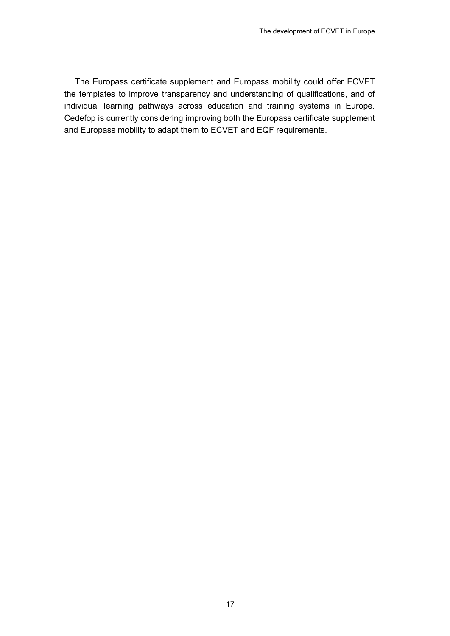The Europass certificate supplement and Europass mobility could offer ECVET the templates to improve transparency and understanding of qualifications, and of individual learning pathways across education and training systems in Europe. Cedefop is currently considering improving both the Europass certificate supplement and Europass mobility to adapt them to ECVET and EQF requirements.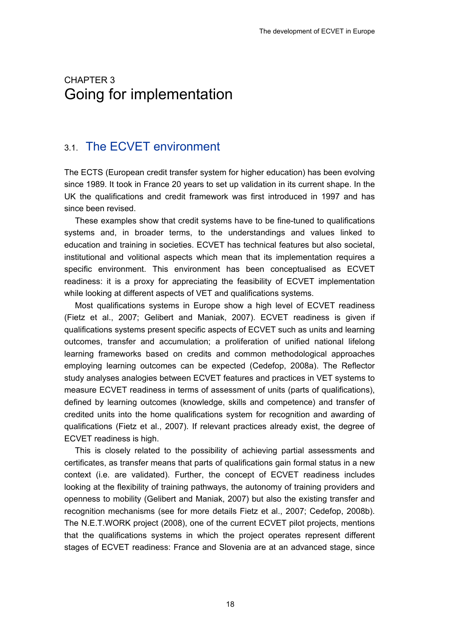## <span id="page-23-0"></span>3. CHAPTER 3 Going for implementation

## 3.1. The ECVET environment

The ECTS (European credit transfer system for higher education) has been evolving since 1989. It took in France 20 years to set up validation in its current shape. In the UK the qualifications and credit framework was first introduced in 1997 and has since been revised.

These examples show that credit systems have to be fine-tuned to qualifications systems and, in broader terms, to the understandings and values linked to education and training in societies. ECVET has technical features but also societal, institutional and volitional aspects which mean that its implementation requires a specific environment. This environment has been conceptualised as ECVET readiness: it is a proxy for appreciating the feasibility of ECVET implementation while looking at different aspects of VET and qualifications systems.

Most qualifications systems in Europe show a high level of ECVET readiness (Fietz et al., 2007; Gelibert and Maniak, 2007). ECVET readiness is given if qualifications systems present specific aspects of ECVET such as units and learning outcomes, transfer and accumulation; a proliferation of unified national lifelong learning frameworks based on credits and common methodological approaches employing learning outcomes can be expected (Cedefop, 2008a). The Reflector study analyses analogies between ECVET features and practices in VET systems to measure ECVET readiness in terms of assessment of units (parts of qualifications), defined by learning outcomes (knowledge, skills and competence) and transfer of credited units into the home qualifications system for recognition and awarding of qualifications (Fietz et al., 2007). If relevant practices already exist, the degree of ECVET readiness is high.

This is closely related to the possibility of achieving partial assessments and certificates, as transfer means that parts of qualifications gain formal status in a new context (i.e. are validated). Further, the concept of ECVET readiness includes looking at the flexibility of training pathways, the autonomy of training providers and openness to mobility (Gelibert and Maniak, 2007) but also the existing transfer and recognition mechanisms (see for more details Fietz et al., 2007; Cedefop, 2008b). The N.E.T.WORK project (2008), one of the current ECVET pilot projects, mentions that the qualifications systems in which the project operates represent different stages of ECVET readiness: France and Slovenia are at an advanced stage, since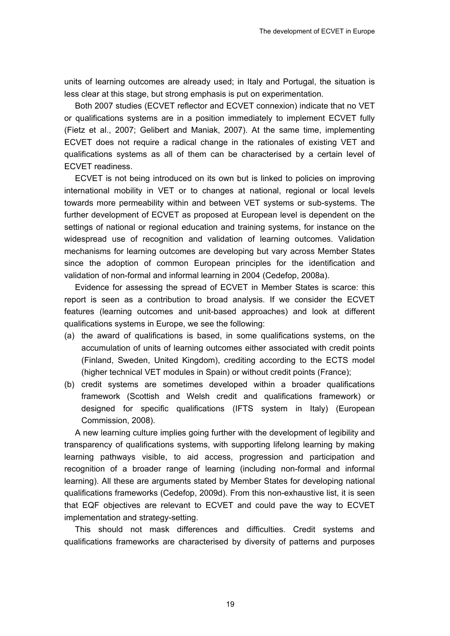units of learning outcomes are already used; in Italy and Portugal, the situation is less clear at this stage, but strong emphasis is put on experimentation.

Both 2007 studies (ECVET reflector and ECVET connexion) indicate that no VET or qualifications systems are in a position immediately to implement ECVET fully (Fietz et al., 2007; Gelibert and Maniak, 2007). At the same time, implementing ECVET does not require a radical change in the rationales of existing VET and qualifications systems as all of them can be characterised by a certain level of ECVET readiness.

ECVET is not being introduced on its own but is linked to policies on improving international mobility in VET or to changes at national, regional or local levels towards more permeability within and between VET systems or sub-systems. The further development of ECVET as proposed at European level is dependent on the settings of national or regional education and training systems, for instance on the widespread use of recognition and validation of learning outcomes. Validation mechanisms for learning outcomes are developing but vary across Member States since the adoption of common European principles for the identification and validation of non-formal and informal learning in 2004 (Cedefop, 2008a).

Evidence for assessing the spread of ECVET in Member States is scarce: this report is seen as a contribution to broad analysis. If we consider the ECVET features (learning outcomes and unit-based approaches) and look at different qualifications systems in Europe, we see the following:

- (a) the award of qualifications is based, in some qualifications systems, on the accumulation of units of learning outcomes either associated with credit points (Finland, Sweden, United Kingdom), crediting according to the ECTS model (higher technical VET modules in Spain) or without credit points (France);
- (b) credit systems are sometimes developed within a broader qualifications framework (Scottish and Welsh credit and qualifications framework) or designed for specific qualifications (IFTS system in Italy) (European Commission, 2008).

A new learning culture implies going further with the development of legibility and transparency of qualifications systems, with supporting lifelong learning by making learning pathways visible, to aid access, progression and participation and recognition of a broader range of learning (including non-formal and informal learning). All these are arguments stated by Member States for developing national qualifications frameworks (Cedefop, 2009d). From this non-exhaustive list, it is seen that EQF objectives are relevant to ECVET and could pave the way to ECVET implementation and strategy-setting.

This should not mask differences and difficulties. Credit systems and qualifications frameworks are characterised by diversity of patterns and purposes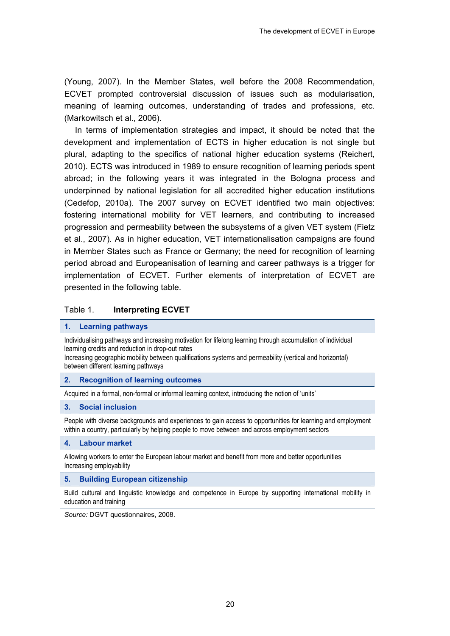<span id="page-25-0"></span>(Young, 2007). In the Member States, well before the 2008 Recommendation, ECVET prompted controversial discussion of issues such as modularisation, meaning of learning outcomes, understanding of trades and professions, etc. (Markowitsch et al., 2006).

In terms of implementation strategies and impact, it should be noted that the development and implementation of ECTS in higher education is not single but plural, adapting to the specifics of national higher education systems (Reichert, 2010). ECTS was introduced in 1989 to ensure recognition of learning periods spent abroad; in the following years it was integrated in the Bologna process and underpinned by national legislation for all accredited higher education institutions (Cedefop, 2010a). The 2007 survey on ECVET identified two main objectives: fostering international mobility for VET learners, and contributing to increased progression and permeability between the subsystems of a given VET system (Fietz et al., 2007). As in higher education, VET internationalisation campaigns are found in Member States such as France or Germany; the need for recognition of learning period abroad and Europeanisation of learning and career pathways is a trigger for implementation of ECVET. Further elements of interpretation of ECVET are presented in the following table.

#### Table 1. **Interpreting ECVET**

#### **1. Learning pathways**

Individualising pathways and increasing motivation for lifelong learning through accumulation of individual learning credits and reduction in drop-out rates

Increasing geographic mobility between qualifications systems and permeability (vertical and horizontal) between different learning pathways

#### **2. Recognition of learning outcomes**

Acquired in a formal, non-formal or informal learning context, introducing the notion of 'units'

#### **3. Social inclusion**

People with diverse backgrounds and experiences to gain access to opportunities for learning and employment within a country, particularly by helping people to move between and across employment sectors

#### **4. Labour market**

Allowing workers to enter the European labour market and benefit from more and better opportunities Increasing employability

#### **5. Building European citizenship**

Build cultural and linguistic knowledge and competence in Europe by supporting international mobility in education and training

*Source:* DGVT questionnaires, 2008.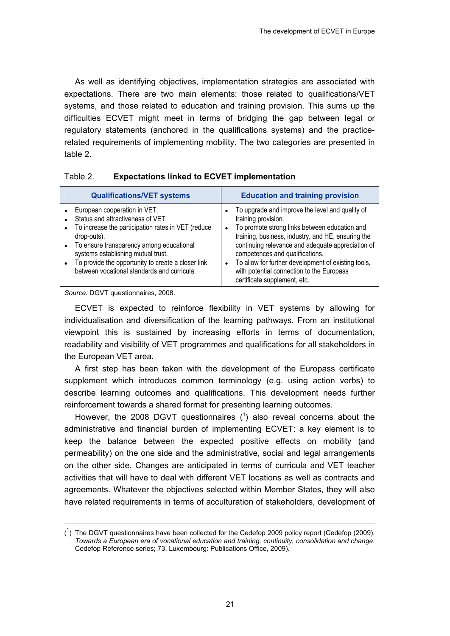<span id="page-26-0"></span>As well as identifying objectives, implementation strategies are associated with expectations. There are two main elements: those related to qualifications/VET systems, and those related to education and training provision. This sums up the difficulties ECVET might meet in terms of bridging the gap between legal or regulatory statements (anchored in the qualifications systems) and the practicerelated requirements of implementing mobility. The two categories are presented in table 2.

| <b>Qualifications/VET systems</b>                                                                                                                                                                                                                                                                                                                       | <b>Education and training provision</b>                                                                                                                                                                                                                                                                                                                                                                   |
|---------------------------------------------------------------------------------------------------------------------------------------------------------------------------------------------------------------------------------------------------------------------------------------------------------------------------------------------------------|-----------------------------------------------------------------------------------------------------------------------------------------------------------------------------------------------------------------------------------------------------------------------------------------------------------------------------------------------------------------------------------------------------------|
| European cooperation in VET.<br>Status and attractiveness of VET.<br>To increase the participation rates in VET (reduce<br>drop-outs).<br>To ensure transparency among educational<br>$\bullet$<br>systems establishing mutual trust.<br>To provide the opportunity to create a closer link<br>$\bullet$<br>between vocational standards and curricula. | To upgrade and improve the level and quality of<br>training provision.<br>To promote strong links between education and<br>training, business, industry, and HE, ensuring the<br>continuing relevance and adequate appreciation of<br>competences and qualifications.<br>To allow for further development of existing tools,<br>with potential connection to the Europass<br>certificate supplement, etc. |

#### Table 2. **Expectations linked to ECVET implementation**

*Source:* DGVT questionnaires, 2008.

1

ECVET is expected to reinforce flexibility in VET systems by allowing for individualisation and diversification of the learning pathways. From an institutional viewpoint this is sustained by increasing efforts in terms of documentation, readability and visibility of VET programmes and qualifications for all stakeholders in the European VET area.

A first step has been taken with the development of the Europass certificate supplement which introduces common terminology (e.g. using action verbs) to describe learning outcomes and qualifications. This development needs further reinforcement towards a shared format for presenting learning outcomes.

However, the 2008 DGVT questionnaires  $(1)$  also reveal concerns about the administrative and financial burden of implementing ECVET: a key element is to keep the balance between the expected positive effects on mobility (and permeability) on the one side and the administrative, social and legal arrangements on the other side. Changes are anticipated in terms of curricula and VET teacher activities that will have to deal with different VET locations as well as contracts and agreements. Whatever the objectives selected within Member States, they will also have related requirements in terms of acculturation of stakeholders, development of

 $({}^{1})$  The DGVT questionnaires have been collected for the Cedefop 2009 policy report (Cedefop (2009). *Towards a European era of vocational education and training. continuity, consolidation and change*. Cedefop Reference series; 73. Luxembourg: Publications Office, 2009).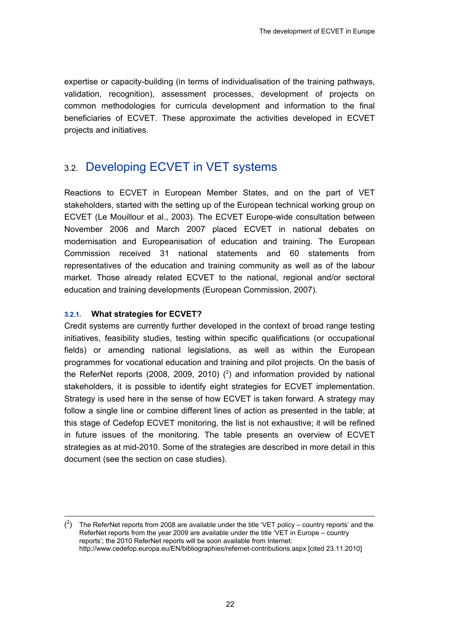<span id="page-27-0"></span>expertise or capacity-building (in terms of individualisation of the training pathways, validation, recognition), assessment processes, development of projects on common methodologies for curricula development and information to the final beneficiaries of ECVET. These approximate the activities developed in ECVET projects and initiatives.

## 3.2. Developing ECVET in VET systems

Reactions to ECVET in European Member States, and on the part of VET stakeholders, started with the setting up of the European technical working group on ECVET (Le Mouillour et al., 2003). The ECVET Europe-wide consultation between November 2006 and March 2007 placed ECVET in national debates on modernisation and Europeanisation of education and training. The European Commission received 31 national statements and 60 statements from representatives of the education and training community as well as of the labour market. Those already related ECVET to the national, regional and/or sectoral education and training developments (European Commission, 2007).

#### **3.2.1. What strategies for ECVET?**

 $\overline{a}$ 

Credit systems are currently further developed in the context of broad range testing initiatives, feasibility studies, testing within specific qualifications (or occupational fields) or amending national legislations, as well as within the European programmes for vocational education and training and pilot projects. On the basis of the ReferNet reports (2008, 2009, 2010)  $(^2)$  and information provided by national stakeholders, it is possible to identify eight strategies for ECVET implementation. Strategy is used here in the sense of how ECVET is taken forward. A strategy may follow a single line or combine different lines of action as presented in the table; at this stage of Cedefop ECVET monitoring, the list is not exhaustive; it will be refined in future issues of the monitoring. The table presents an overview of ECVET strategies as at mid-2010. Some of the strategies are described in more detail in this document (see the section on case studies).

 $\binom{2}{1}$  The ReferNet reports from 2008 are available under the title 'VET policy – country reports' and the ReferNet reports from the year 2009 are available under the title 'VET in Europe – country reports'; the 2010 ReferNet reports will be soon available from Internet: http://www.cedefop.europa.eu/EN/bibliographies/refernet-contributions.aspx [cited 23.11.2010]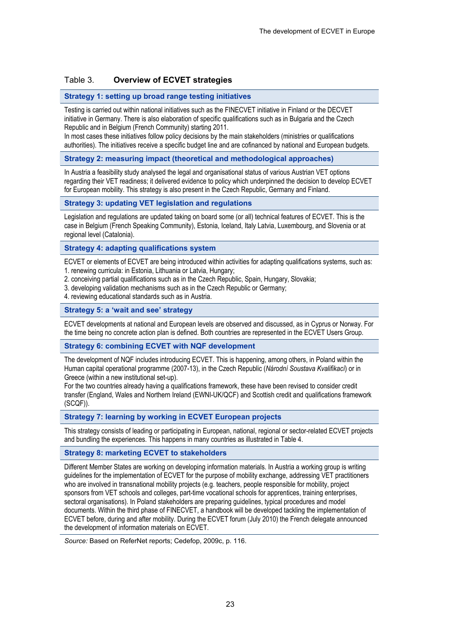#### <span id="page-28-0"></span>Table 3. **Overview of ECVET strategies**

#### **Strategy 1: setting up broad range testing initiatives**

Testing is carried out within national initiatives such as the FINECVET initiative in Finland or the DECVET initiative in Germany. There is also elaboration of specific qualifications such as in Bulgaria and the Czech Republic and in Belgium (French Community) starting 2011.

In most cases these initiatives follow policy decisions by the main stakeholders (ministries or qualifications authorities). The initiatives receive a specific budget line and are cofinanced by national and European budgets.

#### **Strategy 2: measuring impact (theoretical and methodological approaches)**

In Austria a feasibility study analysed the legal and organisational status of various Austrian VET options regarding their VET readiness; it delivered evidence to policy which underpinned the decision to develop ECVET for European mobility. This strategy is also present in the Czech Republic, Germany and Finland.

#### **Strategy 3: updating VET legislation and regulations**

Legislation and regulations are updated taking on board some (or all) technical features of ECVET. This is the case in Belgium (French Speaking Community), Estonia, Iceland, Italy Latvia, Luxembourg, and Slovenia or at regional level (Catalonia).

#### **Strategy 4: adapting qualifications system**

ECVET or elements of ECVET are being introduced within activities for adapting qualifications systems, such as: 1. renewing curricula: in Estonia, Lithuania or Latvia, Hungary;

- 2. conceiving partial qualifications such as in the Czech Republic, Spain, Hungary, Slovakia;
- 3. developing validation mechanisms such as in the Czech Republic or Germany;
- 4. reviewing educational standards such as in Austria.

#### **Strategy 5: a 'wait and see' strategy**

ECVET developments at national and European levels are observed and discussed, as in Cyprus or Norway. For the time being no concrete action plan is defined. Both countries are represented in the ECVET Users Group.

#### **Strategy 6: combining ECVET with NQF development**

The development of NQF includes introducing ECVET. This is happening, among others, in Poland within the Human capital operational programme (2007-13), in the Czech Republic (*Národní Soustava Kvalifikací*) or in Greece (within a new institutional set-up).

For the two countries already having a qualifications framework, these have been revised to consider credit transfer (England, Wales and Northern Ireland (EWNI-UK/QCF) and Scottish credit and qualifications framework (SCQF)).

**Strategy 7: learning by working in ECVET European projects** 

This strategy consists of leading or participating in European, national, regional or sector-related ECVET projects and bundling the experiences. This happens in many countries as illustrated in Table 4.

#### **Strategy 8: marketing ECVET to stakeholders**

Different Member States are working on developing information materials. In Austria a working group is writing guidelines for the implementation of ECVET for the purpose of mobility exchange, addressing VET practitioners who are involved in transnational mobility projects (e.g. teachers, people responsible for mobility, project sponsors from VET schools and colleges, part-time vocational schools for apprentices, training enterprises, sectoral organisations). In Poland stakeholders are preparing guidelines, typical procedures and model documents. Within the third phase of FINECVET, a handbook will be developed tackling the implementation of ECVET before, during and after mobility. During the ECVET forum (July 2010) the French delegate announced the development of information materials on ECVET.

*Source:* Based on ReferNet reports; Cedefop, 2009c, p. 116.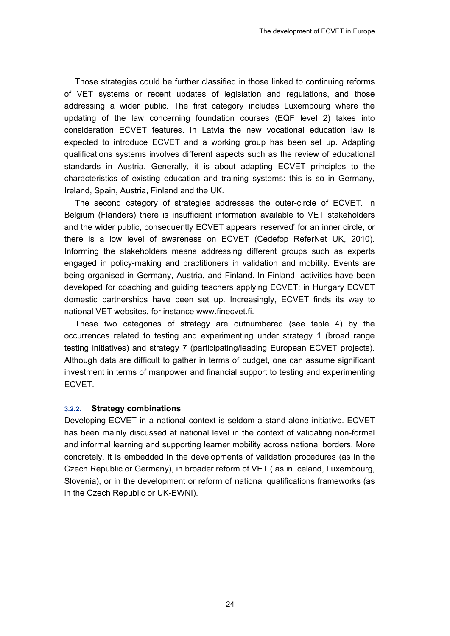<span id="page-29-0"></span>Those strategies could be further classified in those linked to continuing reforms of VET systems or recent updates of legislation and regulations, and those addressing a wider public. The first category includes Luxembourg where the updating of the law concerning foundation courses (EQF level 2) takes into consideration ECVET features. In Latvia the new vocational education law is expected to introduce ECVET and a working group has been set up. Adapting qualifications systems involves different aspects such as the review of educational standards in Austria. Generally, it is about adapting ECVET principles to the characteristics of existing education and training systems: this is so in Germany, Ireland, Spain, Austria, Finland and the UK.

The second category of strategies addresses the outer-circle of ECVET. In Belgium (Flanders) there is insufficient information available to VET stakeholders and the wider public, consequently ECVET appears 'reserved' for an inner circle, or there is a low level of awareness on ECVET (Cedefop ReferNet UK, 2010). Informing the stakeholders means addressing different groups such as experts engaged in policy-making and practitioners in validation and mobility. Events are being organised in Germany, Austria, and Finland. In Finland, activities have been developed for coaching and guiding teachers applying ECVET; in Hungary ECVET domestic partnerships have been set up. Increasingly, ECVET finds its way to national VET websites, for instance www.finecvet.fi.

These two categories of strategy are outnumbered (see table 4) by the occurrences related to testing and experimenting under strategy 1 (broad range testing initiatives) and strategy 7 (participating/leading European ECVET projects). Although data are difficult to gather in terms of budget, one can assume significant investment in terms of manpower and financial support to testing and experimenting ECVET.

#### **3.2.2. Strategy combinations**

Developing ECVET in a national context is seldom a stand-alone initiative. ECVET has been mainly discussed at national level in the context of validating non-formal and informal learning and supporting learner mobility across national borders. More concretely, it is embedded in the developments of validation procedures (as in the Czech Republic or Germany), in broader reform of VET ( as in Iceland, Luxembourg, Slovenia), or in the development or reform of national qualifications frameworks (as in the Czech Republic or UK-EWNI).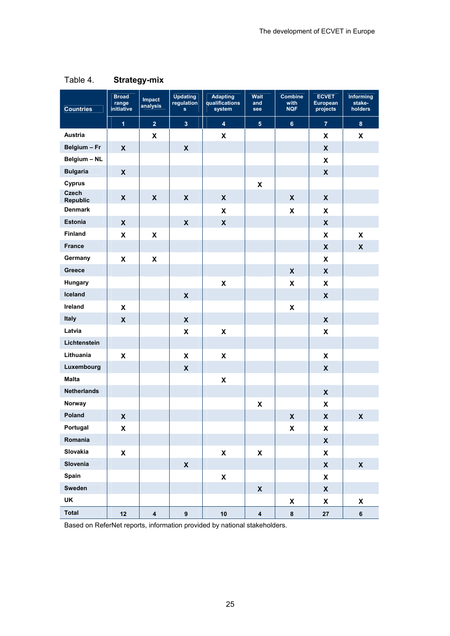| <b>Countries</b>   | <b>Broad</b><br>range<br>initiative | Impact<br>analysis        | <b>Updating</b><br>regulation<br>$\mathbf{s}$ | <b>Adapting</b><br>qualifications<br>system | <b>Wait</b><br>and<br>see | <b>Combine</b><br>with<br><b>NQF</b> | <b>ECVET</b><br>European<br>projects | <b>Informing</b><br>stake-<br>holders |
|--------------------|-------------------------------------|---------------------------|-----------------------------------------------|---------------------------------------------|---------------------------|--------------------------------------|--------------------------------------|---------------------------------------|
|                    | $\overline{1}$                      | $\overline{2}$            | 3 <sup>1</sup>                                | $\overline{\mathbf{4}}$                     | $\overline{\mathbf{5}}$   | $\bf 6$                              | $\overline{7}$                       | $\pmb{8}$                             |
| Austria            |                                     | $\mathbf x$               |                                               | $\mathbf x$                                 |                           |                                      | X                                    | X                                     |
| Belgium - Fr       | $\boldsymbol{\mathsf{X}}$           |                           | $\mathbf x$                                   |                                             |                           |                                      | $\boldsymbol{\mathsf{x}}$            |                                       |
| Belgium - NL       |                                     |                           |                                               |                                             |                           |                                      | X                                    |                                       |
| <b>Bulgaria</b>    | $\pmb{\mathsf{X}}$                  |                           |                                               |                                             |                           |                                      | $\pmb{\mathsf{X}}$                   |                                       |
| Cyprus             |                                     |                           |                                               |                                             | X                         |                                      |                                      |                                       |
| Czech<br>Republic  | $\boldsymbol{\mathsf{x}}$           | $\boldsymbol{\mathsf{X}}$ | $\mathbf x$                                   | $\pmb{\mathsf{X}}$                          |                           | $\boldsymbol{\mathsf{X}}$            | X                                    |                                       |
| <b>Denmark</b>     |                                     |                           |                                               | X                                           |                           | X                                    | X                                    |                                       |
| Estonia            | $\boldsymbol{\mathsf{X}}$           |                           | $\pmb{\mathsf{X}}$                            | $\pmb{\mathsf{X}}$                          |                           |                                      | $\pmb{\mathsf{X}}$                   |                                       |
| Finland            | $\pmb{\mathsf{X}}$                  | $\pmb{\mathsf{x}}$        |                                               |                                             |                           |                                      | $\pmb{\mathsf{x}}$                   | $\boldsymbol{\mathsf{x}}$             |
| <b>France</b>      |                                     |                           |                                               |                                             |                           |                                      | $\boldsymbol{\mathsf{x}}$            | $\boldsymbol{\mathsf{x}}$             |
| Germany            | $\boldsymbol{\mathsf{x}}$           | $\pmb{\mathsf{X}}$        |                                               |                                             |                           |                                      | X                                    |                                       |
| Greece             |                                     |                           |                                               |                                             |                           | X                                    | $\boldsymbol{\mathsf{x}}$            |                                       |
| Hungary            |                                     |                           |                                               | $\pmb{\mathsf{X}}$                          |                           | X                                    | X                                    |                                       |
| Iceland            |                                     |                           | $\boldsymbol{\mathsf{X}}$                     |                                             |                           |                                      | $\pmb{\mathsf{x}}$                   |                                       |
| Ireland            | $\pmb{\mathsf{x}}$                  |                           |                                               |                                             |                           | $\pmb{\mathsf{X}}$                   |                                      |                                       |
| Italy              | $\pmb{\mathsf{X}}$                  |                           | $\mathbf x$                                   |                                             |                           |                                      | $\boldsymbol{\mathsf{x}}$            |                                       |
| Latvia             |                                     |                           | $\boldsymbol{\mathsf{x}}$                     | $\boldsymbol{\mathsf{x}}$                   |                           |                                      | X                                    |                                       |
| Lichtenstein       |                                     |                           |                                               |                                             |                           |                                      |                                      |                                       |
| Lithuania          | $\pmb{\mathsf{X}}$                  |                           | X                                             | $\pmb{\mathsf{X}}$                          |                           |                                      | X                                    |                                       |
| Luxembourg         |                                     |                           | $\boldsymbol{\mathsf{x}}$                     |                                             |                           |                                      | $\pmb{\mathsf{x}}$                   |                                       |
| <b>Malta</b>       |                                     |                           |                                               | $\pmb{\mathsf{X}}$                          |                           |                                      |                                      |                                       |
| <b>Netherlands</b> |                                     |                           |                                               |                                             |                           |                                      | $\boldsymbol{\mathsf{x}}$            |                                       |
| Norway             |                                     |                           |                                               |                                             | $\mathbf x$               |                                      | X                                    |                                       |
| Poland             | $\pmb{\mathsf{X}}$                  |                           |                                               |                                             |                           | $\pmb{\mathsf{X}}$                   | $\boldsymbol{\mathsf{x}}$            | $\pmb{\mathsf{X}}$                    |
| Portugal           | X                                   |                           |                                               |                                             |                           | X                                    | X                                    |                                       |
| Romania            |                                     |                           |                                               |                                             |                           |                                      | $\pmb{\mathsf{X}}$                   |                                       |
| Slovakia           | $\pmb{\mathsf{x}}$                  |                           |                                               | $\pmb{\mathsf{X}}$                          | $\pmb{\mathsf{X}}$        |                                      | $\pmb{\mathsf{X}}$                   |                                       |
| Slovenia           |                                     |                           | $\pmb{\mathsf{X}}$                            |                                             |                           |                                      | $\pmb{\mathsf{X}}$                   | $\pmb{\mathsf{X}}$                    |
| Spain              |                                     |                           |                                               | $\pmb{\mathsf{X}}$                          |                           |                                      | X                                    |                                       |
| Sweden             |                                     |                           |                                               |                                             | $\pmb{\mathsf{X}}$        |                                      | $\pmb{\mathsf{X}}$                   |                                       |
| UK                 |                                     |                           |                                               |                                             |                           | X                                    | $\pmb{\mathsf{X}}$                   | X                                     |
| <b>Total</b>       | 12                                  | $\overline{\mathbf{4}}$   | $\pmb{9}$                                     | 10                                          | $\pmb{4}$                 | $\bf8$                               | ${\bf 27}$                           | 6                                     |

### <span id="page-30-0"></span>Table 4. **Strategy-mix**

Based on ReferNet reports, information provided by national stakeholders.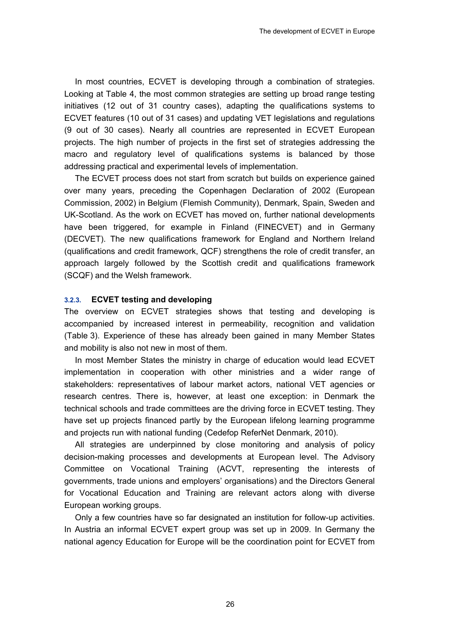<span id="page-31-0"></span>In most countries, ECVET is developing through a combination of strategies. Looking at Table 4, the most common strategies are setting up broad range testing initiatives (12 out of 31 country cases), adapting the qualifications systems to ECVET features (10 out of 31 cases) and updating VET legislations and regulations (9 out of 30 cases). Nearly all countries are represented in ECVET European projects. The high number of projects in the first set of strategies addressing the macro and regulatory level of qualifications systems is balanced by those addressing practical and experimental levels of implementation.

The ECVET process does not start from scratch but builds on experience gained over many years, preceding the Copenhagen Declaration of 2002 (European Commission, 2002) in Belgium (Flemish Community), Denmark, Spain, Sweden and UK-Scotland. As the work on ECVET has moved on, further national developments have been triggered, for example in Finland (FINECVET) and in Germany (DECVET). The new qualifications framework for England and Northern Ireland (qualifications and credit framework, QCF) strengthens the role of credit transfer, an approach largely followed by the Scottish credit and qualifications framework (SCQF) and the Welsh framework.

#### **3.2.3. ECVET testing and developing**

The overview on ECVET strategies shows that testing and developing is accompanied by increased interest in permeability, recognition and validation (Table 3). Experience of these has already been gained in many Member States and mobility is also not new in most of them.

In most Member States the ministry in charge of education would lead ECVET implementation in cooperation with other ministries and a wider range of stakeholders: representatives of labour market actors, national VET agencies or research centres. There is, however, at least one exception: in Denmark the technical schools and trade committees are the driving force in ECVET testing. They have set up projects financed partly by the European lifelong learning programme and projects run with national funding (Cedefop ReferNet Denmark, 2010).

All strategies are underpinned by close monitoring and analysis of policy decision-making processes and developments at European level. The Advisory Committee on Vocational Training (ACVT, representing the interests of governments, trade unions and employers' organisations) and the Directors General for Vocational Education and Training are relevant actors along with diverse European working groups.

Only a few countries have so far designated an institution for follow-up activities. In Austria an informal ECVET expert group was set up in 2009. In Germany the national agency Education for Europe will be the coordination point for ECVET from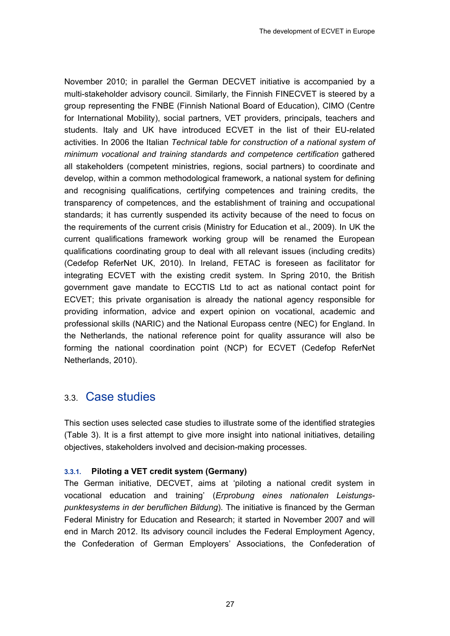<span id="page-32-0"></span>November 2010; in parallel the German DECVET initiative is accompanied by a multi-stakeholder advisory council. Similarly, the Finnish FINECVET is steered by a group representing the FNBE (Finnish National Board of Education), CIMO (Centre for International Mobility), social partners, VET providers, principals, teachers and students. Italy and UK have introduced ECVET in the list of their EU-related activities. In 2006 the Italian *Technical table for construction of a national system of minimum vocational and training standards and competence certification* gathered all stakeholders (competent ministries, regions, social partners) to coordinate and develop, within a common methodological framework, a national system for defining and recognising qualifications, certifying competences and training credits, the transparency of competences, and the establishment of training and occupational standards; it has currently suspended its activity because of the need to focus on the requirements of the current crisis (Ministry for Education et al., 2009). In UK the current qualifications framework working group will be renamed the European qualifications coordinating group to deal with all relevant issues (including credits) (Cedefop ReferNet UK, 2010). In Ireland, FETAC is foreseen as facilitator for integrating ECVET with the existing credit system. In Spring 2010, the British government gave mandate to ECCTIS Ltd to act as national contact point for ECVET; this private organisation is already the national agency responsible for providing information, advice and expert opinion on vocational, academic and professional skills (NARIC) and the National Europass centre (NEC) for England. In the Netherlands, the national reference point for quality assurance will also be forming the national coordination point (NCP) for ECVET (Cedefop ReferNet Netherlands, 2010).

### 3.3. Case studies

This section uses selected case studies to illustrate some of the identified strategies (Table 3). It is a first attempt to give more insight into national initiatives, detailing objectives, stakeholders involved and decision-making processes.

#### **3.3.1. Piloting a VET credit system (Germany)**

The German initiative, DECVET, aims at 'piloting a national credit system in vocational education and training' (*Erprobung eines nationalen Leistungspunktesystems in der beruflichen Bildung*). The initiative is financed by the German Federal Ministry for Education and Research; it started in November 2007 and will end in March 2012. Its advisory council includes the Federal Employment Agency, the Confederation of German Employers' Associations, the Confederation of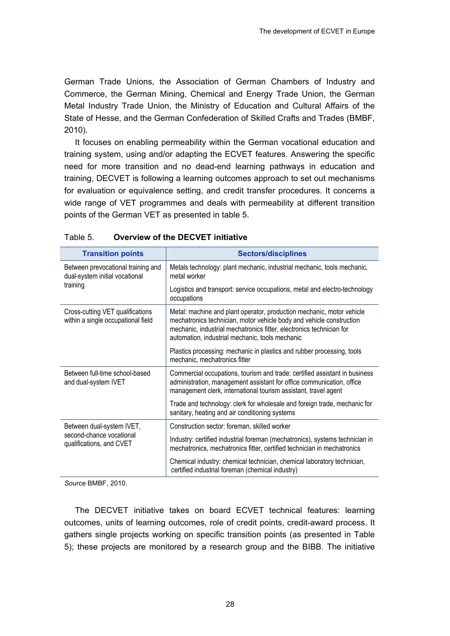<span id="page-33-0"></span>German Trade Unions, the Association of German Chambers of Industry and Commerce, the German Mining, Chemical and Energy Trade Union, the German Metal Industry Trade Union, the Ministry of Education and Cultural Affairs of the State of Hesse, and the German Confederation of Skilled Crafts and Trades (BMBF, 2010).

It focuses on enabling permeability within the German vocational education and training system, using and/or adapting the ECVET features. Answering the specific need for more transition and no dead-end learning pathways in education and training, DECVET is following a learning outcomes approach to set out mechanisms for evaluation or equivalence setting, and credit transfer procedures. It concerns a wide range of VET programmes and deals with permeability at different transition points of the German VET as presented in table 5.

| <b>Transition points</b>                                               | <b>Sectors/disciplines</b>                                                                                                                                                                                                                                               |  |  |  |
|------------------------------------------------------------------------|--------------------------------------------------------------------------------------------------------------------------------------------------------------------------------------------------------------------------------------------------------------------------|--|--|--|
| Between prevocational training and<br>dual-system initial vocational   | Metals technology: plant mechanic, industrial mechanic, tools mechanic,<br>metal worker                                                                                                                                                                                  |  |  |  |
| training                                                               | Logistics and transport: service occupations, metal and electro-technology<br>occupations                                                                                                                                                                                |  |  |  |
| Cross-cutting VET qualifications<br>within a single occupational field | Metal: machine and plant operator, production mechanic, motor vehicle<br>mechatronics technician, motor vehicle body and vehicle construction<br>mechanic, industrial mechatronics fitter, electronics technician for<br>automation, industrial mechanic, tools mechanic |  |  |  |
|                                                                        | Plastics processing: mechanic in plastics and rubber processing, tools<br>mechanic, mechatronics fitter                                                                                                                                                                  |  |  |  |
| Between full-time school-based<br>and dual-system IVET                 | Commercial occupations, tourism and trade: certified assistant in business<br>administration, management assistant for office communication, office<br>management clerk, international tourism assistant, travel agent                                                   |  |  |  |
|                                                                        | Trade and technology: clerk for wholesale and foreign trade, mechanic for<br>sanitary, heating and air conditioning systems                                                                                                                                              |  |  |  |
| Between dual-system IVET,                                              | Construction sector: foreman, skilled worker                                                                                                                                                                                                                             |  |  |  |
| second-chance vocational<br>qualifications, and CVET                   | Industry: certified industrial foreman (mechatronics), systems technician in<br>mechatronics, mechatronics fitter, certified technician in mechatronics                                                                                                                  |  |  |  |
|                                                                        | Chemical industry: chemical technician, chemical laboratory technician,<br>certified industrial foreman (chemical industry)                                                                                                                                              |  |  |  |

#### Table 5. **Overview of the DECVET initiative**

*Source* BMBF, 2010.

The DECVET initiative takes on board ECVET technical features: learning outcomes, units of learning outcomes, role of credit points, credit-award process. It gathers single projects working on specific transition points (as presented in Table 5); these projects are monitored by a research group and the BIBB. The initiative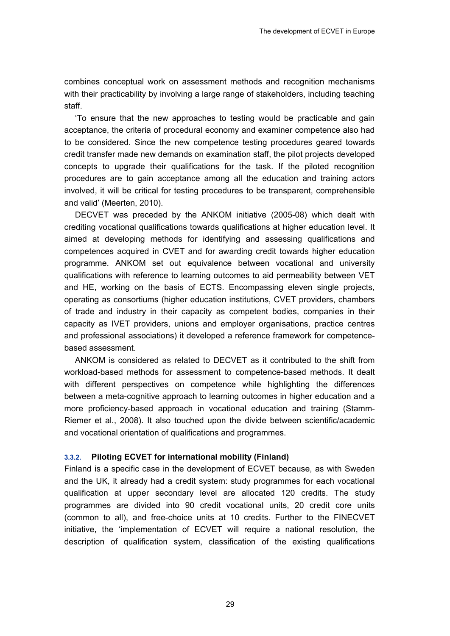<span id="page-34-0"></span>combines conceptual work on assessment methods and recognition mechanisms with their practicability by involving a large range of stakeholders, including teaching staff.

'To ensure that the new approaches to testing would be practicable and gain acceptance, the criteria of procedural economy and examiner competence also had to be considered. Since the new competence testing procedures geared towards credit transfer made new demands on examination staff, the pilot projects developed concepts to upgrade their qualifications for the task. If the piloted recognition procedures are to gain acceptance among all the education and training actors involved, it will be critical for testing procedures to be transparent, comprehensible and valid' (Meerten, 2010).

DECVET was preceded by the ANKOM initiative (2005-08) which dealt with crediting vocational qualifications towards qualifications at higher education level. It aimed at developing methods for identifying and assessing qualifications and competences acquired in CVET and for awarding credit towards higher education programme. ANKOM set out equivalence between vocational and university qualifications with reference to learning outcomes to aid permeability between VET and HE, working on the basis of ECTS. Encompassing eleven single projects, operating as consortiums (higher education institutions, CVET providers, chambers of trade and industry in their capacity as competent bodies, companies in their capacity as IVET providers, unions and employer organisations, practice centres and professional associations) it developed a reference framework for competencebased assessment.

ANKOM is considered as related to DECVET as it contributed to the shift from workload-based methods for assessment to competence-based methods. It dealt with different perspectives on competence while highlighting the differences between a meta-cognitive approach to learning outcomes in higher education and a more proficiency-based approach in vocational education and training (Stamm-Riemer et al., 2008). It also touched upon the divide between scientific/academic and vocational orientation of qualifications and programmes.

#### **3.3.2. Piloting ECVET for international mobility (Finland)**

Finland is a specific case in the development of ECVET because, as with Sweden and the UK, it already had a credit system: study programmes for each vocational qualification at upper secondary level are allocated 120 credits. The study programmes are divided into 90 credit vocational units, 20 credit core units (common to all), and free-choice units at 10 credits. Further to the FINECVET initiative, the 'implementation of ECVET will require a national resolution, the description of qualification system, classification of the existing qualifications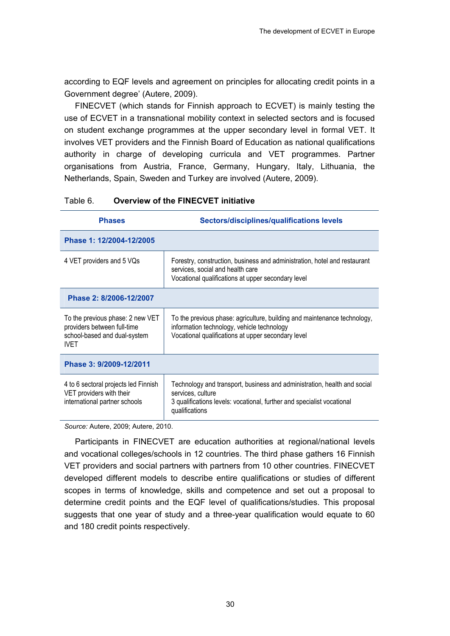<span id="page-35-0"></span>according to EQF levels and agreement on principles for allocating credit points in a Government degree' (Autere, 2009).

FINECVET (which stands for Finnish approach to ECVET) is mainly testing the use of ECVET in a transnational mobility context in selected sectors and is focused on student exchange programmes at the upper secondary level in formal VET. It involves VET providers and the Finnish Board of Education as national qualifications authority in charge of developing curricula and VET programmes. Partner organisations from Austria, France, Germany, Hungary, Italy, Lithuania, the Netherlands, Spain, Sweden and Turkey are involved (Autere, 2009).

| <b>Phases</b>                                                                                                  | Sectors/disciplines/qualifications levels                                                                                                                                                 |  |  |  |
|----------------------------------------------------------------------------------------------------------------|-------------------------------------------------------------------------------------------------------------------------------------------------------------------------------------------|--|--|--|
| Phase 1: 12/2004-12/2005                                                                                       |                                                                                                                                                                                           |  |  |  |
| 4 VET providers and 5 VQs                                                                                      | Forestry, construction, business and administration, hotel and restaurant<br>services, social and health care<br>Vocational qualifications at upper secondary level                       |  |  |  |
| Phase 2: 8/2006-12/2007                                                                                        |                                                                                                                                                                                           |  |  |  |
| To the previous phase: 2 new VET<br>providers between full-time<br>school-based and dual-system<br><b>IVFT</b> | To the previous phase: agriculture, building and maintenance technology,<br>information technology, vehicle technology<br>Vocational qualifications at upper secondary level              |  |  |  |
| Phase 3: 9/2009-12/2011                                                                                        |                                                                                                                                                                                           |  |  |  |
| 4 to 6 sectoral projects led Finnish<br>VET providers with their<br>international partner schools              | Technology and transport, business and administration, health and social<br>services, culture<br>3 qualifications levels: vocational, further and specialist vocational<br>qualifications |  |  |  |

#### Table 6. **Overview of the FINECVET initiative**

*Source:* Autere, 2009; Autere, 2010.

Participants in FINECVET are education authorities at regional/national levels and vocational colleges/schools in 12 countries. The third phase gathers 16 Finnish VET providers and social partners with partners from 10 other countries. FINECVET developed different models to describe entire qualifications or studies of different scopes in terms of knowledge, skills and competence and set out a proposal to determine credit points and the EQF level of qualifications/studies. This proposal suggests that one year of study and a three-year qualification would equate to 60 and 180 credit points respectively.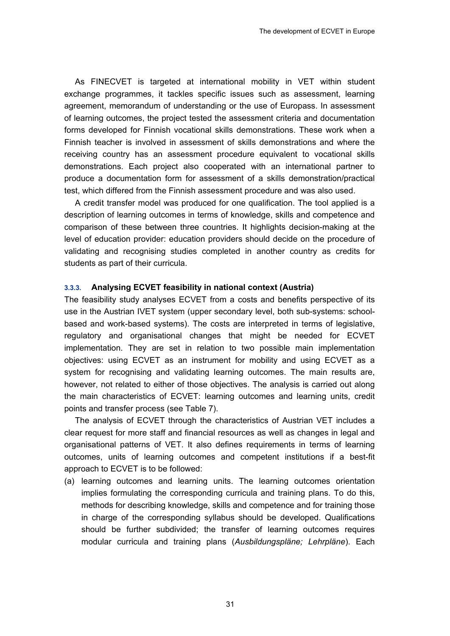As FINECVET is targeted at international mobility in VET within student exchange programmes, it tackles specific issues such as assessment, learning agreement, memorandum of understanding or the use of Europass. In assessment of learning outcomes, the project tested the assessment criteria and documentation forms developed for Finnish vocational skills demonstrations. These work when a Finnish teacher is involved in assessment of skills demonstrations and where the receiving country has an assessment procedure equivalent to vocational skills demonstrations. Each project also cooperated with an international partner to produce a documentation form for assessment of a skills demonstration/practical test, which differed from the Finnish assessment procedure and was also used.

A credit transfer model was produced for one qualification. The tool applied is a description of learning outcomes in terms of knowledge, skills and competence and comparison of these between three countries. It highlights decision-making at the level of education provider: education providers should decide on the procedure of validating and recognising studies completed in another country as credits for students as part of their curricula.

#### **3.3.3. Analysing ECVET feasibility in national context (Austria)**

The feasibility study analyses ECVET from a costs and benefits perspective of its use in the Austrian IVET system (upper secondary level, both sub-systems: schoolbased and work-based systems). The costs are interpreted in terms of legislative, regulatory and organisational changes that might be needed for ECVET implementation. They are set in relation to two possible main implementation objectives: using ECVET as an instrument for mobility and using ECVET as a system for recognising and validating learning outcomes. The main results are, however, not related to either of those objectives. The analysis is carried out along the main characteristics of ECVET: learning outcomes and learning units, credit points and transfer process (see Table 7).

The analysis of ECVET through the characteristics of Austrian VET includes a clear request for more staff and financial resources as well as changes in legal and organisational patterns of VET. It also defines requirements in terms of learning outcomes, units of learning outcomes and competent institutions if a best-fit approach to ECVET is to be followed:

(a) learning outcomes and learning units. The learning outcomes orientation implies formulating the corresponding curricula and training plans. To do this, methods for describing knowledge, skills and competence and for training those in charge of the corresponding syllabus should be developed. Qualifications should be further subdivided; the transfer of learning outcomes requires modular curricula and training plans (*Ausbildungspläne; Lehrpläne*). Each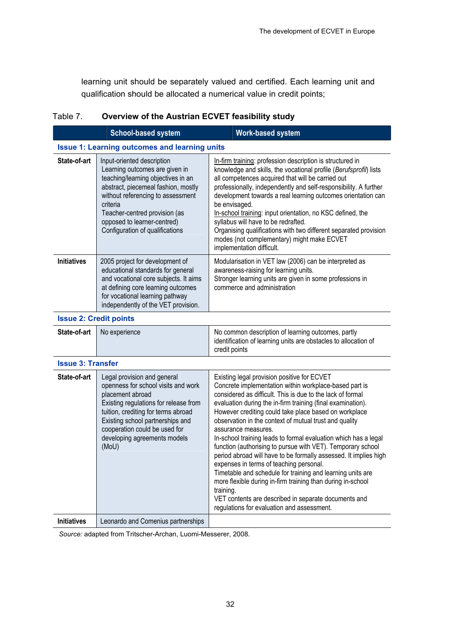learning unit should be separately valued and certified. Each learning unit and qualification should be allocated a numerical value in credit points;

| Table 7. | Overview of the Austrian ECVET feasibility study |
|----------|--------------------------------------------------|
|----------|--------------------------------------------------|

|                    | <b>School-based system</b>                                                                                                                                                                                                                                                                    | <b>Work-based system</b>                                                                                                                                                                                                                                                                                                                                                                                                                                                                                                                                                                     |
|--------------------|-----------------------------------------------------------------------------------------------------------------------------------------------------------------------------------------------------------------------------------------------------------------------------------------------|----------------------------------------------------------------------------------------------------------------------------------------------------------------------------------------------------------------------------------------------------------------------------------------------------------------------------------------------------------------------------------------------------------------------------------------------------------------------------------------------------------------------------------------------------------------------------------------------|
|                    | <b>Issue 1: Learning outcomes and learning units</b>                                                                                                                                                                                                                                          |                                                                                                                                                                                                                                                                                                                                                                                                                                                                                                                                                                                              |
| State-of-art       | Input-oriented description<br>Learning outcomes are given in<br>teaching/learning objectives in an<br>abstract, piecemeal fashion, mostly<br>without referencing to assessment<br>criteria<br>Teacher-centred provision (as<br>opposed to learner-centred)<br>Configuration of qualifications | In-firm training: profession description is structured in<br>knowledge and skills, the vocational profile (Berufsprofil) lists<br>all competences acquired that will be carried out<br>professionally, independently and self-responsibility. A further<br>development towards a real learning outcomes orientation can<br>be envisaged.<br>In-school training: input orientation, no KSC defined, the<br>syllabus will have to be redrafted.<br>Organising qualifications with two different separated provision<br>modes (not complementary) might make ECVET<br>implementation difficult. |
| <b>Initiatives</b> | 2005 project for development of<br>educational standards for general<br>and vocational core subjects. It aims<br>at defining core learning outcomes<br>for vocational learning pathway<br>independently of the VET provision.                                                                 | Modularisation in VET law (2006) can be interpreted as<br>awareness-raising for learning units.<br>Stronger learning units are given in some professions in<br>commerce and administration                                                                                                                                                                                                                                                                                                                                                                                                   |

**Issue 2: Credit points** 

| State-of-art   No experience | No common description of learning outcomes, partly                               |
|------------------------------|----------------------------------------------------------------------------------|
|                              | identification of learning units are obstacles to allocation of<br>credit points |
|                              |                                                                                  |

#### **Issue 3: Transfer**

| State-of-art       | Legal provision and general<br>openness for school visits and work<br>placement abroad<br>Existing regulations for release from<br>tuition, crediting for terms abroad<br>Existing school partnerships and<br>cooperation could be used for<br>developing agreements models<br>(MoU) | Existing legal provision positive for ECVET<br>Concrete implementation within workplace-based part is<br>considered as difficult. This is due to the lack of formal<br>evaluation during the in-firm training (final examination).<br>However crediting could take place based on workplace<br>observation in the context of mutual trust and quality<br>assurance measures.<br>In-school training leads to formal evaluation which has a legal<br>function (authorising to pursue with VET). Temporary school<br>period abroad will have to be formally assessed. It implies high<br>expenses in terms of teaching personal.<br>Timetable and schedule for training and learning units are<br>more flexible during in-firm training than during in-school<br>training.<br>VET contents are described in separate documents and<br>regulations for evaluation and assessment. |
|--------------------|--------------------------------------------------------------------------------------------------------------------------------------------------------------------------------------------------------------------------------------------------------------------------------------|-------------------------------------------------------------------------------------------------------------------------------------------------------------------------------------------------------------------------------------------------------------------------------------------------------------------------------------------------------------------------------------------------------------------------------------------------------------------------------------------------------------------------------------------------------------------------------------------------------------------------------------------------------------------------------------------------------------------------------------------------------------------------------------------------------------------------------------------------------------------------------|
| <b>Initiatives</b> | Leonardo and Comenius partnerships                                                                                                                                                                                                                                                   |                                                                                                                                                                                                                                                                                                                                                                                                                                                                                                                                                                                                                                                                                                                                                                                                                                                                               |

*Source:* adapted from Tritscher-Archan, Luomi-Messerer, 2008.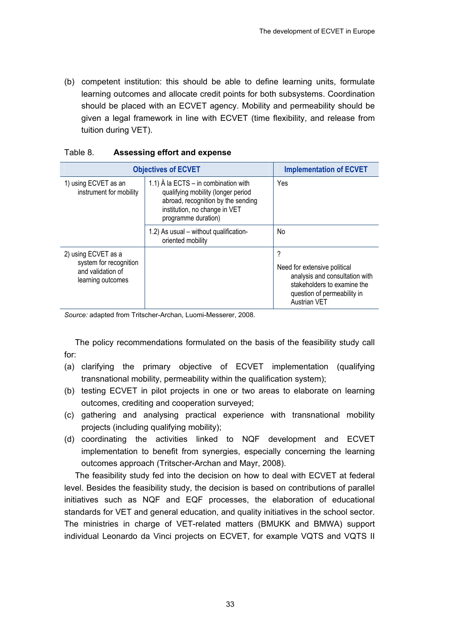(b) competent institution: this should be able to define learning units, formulate learning outcomes and allocate credit points for both subsystems. Coordination should be placed with an ECVET agency. Mobility and permeability should be given a legal framework in line with ECVET (time flexibility, and release from tuition during VET).

| <b>Objectives of ECVET</b>                                                              | <b>Implementation of ECVET</b>                                                                                                                                                   |                                                                                                                                                          |
|-----------------------------------------------------------------------------------------|----------------------------------------------------------------------------------------------------------------------------------------------------------------------------------|----------------------------------------------------------------------------------------------------------------------------------------------------------|
| 1) using ECVET as an<br>instrument for mobility                                         | 1.1) $\hat{A}$ la ECTS – in combination with<br>qualifying mobility (longer period<br>abroad, recognition by the sending<br>institution, no change in VET<br>programme duration) | Yes                                                                                                                                                      |
|                                                                                         | 1.2) As usual - without qualification-<br>oriented mobility                                                                                                                      | No.                                                                                                                                                      |
| 2) using ECVET as a<br>system for recognition<br>and validation of<br>learning outcomes |                                                                                                                                                                                  | ?<br>Need for extensive political<br>analysis and consultation with<br>stakeholders to examine the<br>question of permeability in<br><b>Austrian VET</b> |

#### Table 8. **Assessing effort and expense**

*Source:* adapted from Tritscher-Archan, Luomi-Messerer, 2008.

The policy recommendations formulated on the basis of the feasibility study call for:

- (a) clarifying the primary objective of ECVET implementation (qualifying transnational mobility, permeability within the qualification system);
- (b) testing ECVET in pilot projects in one or two areas to elaborate on learning outcomes, crediting and cooperation surveyed;
- (c) gathering and analysing practical experience with transnational mobility projects (including qualifying mobility);
- (d) coordinating the activities linked to NQF development and ECVET implementation to benefit from synergies, especially concerning the learning outcomes approach (Tritscher-Archan and Mayr, 2008).

The feasibility study fed into the decision on how to deal with ECVET at federal level. Besides the feasibility study, the decision is based on contributions of parallel initiatives such as NQF and EQF processes, the elaboration of educational standards for VET and general education, and quality initiatives in the school sector. The ministries in charge of VET-related matters (BMUKK and BMWA) support individual Leonardo da Vinci projects on ECVET, for example VQTS and VQTS II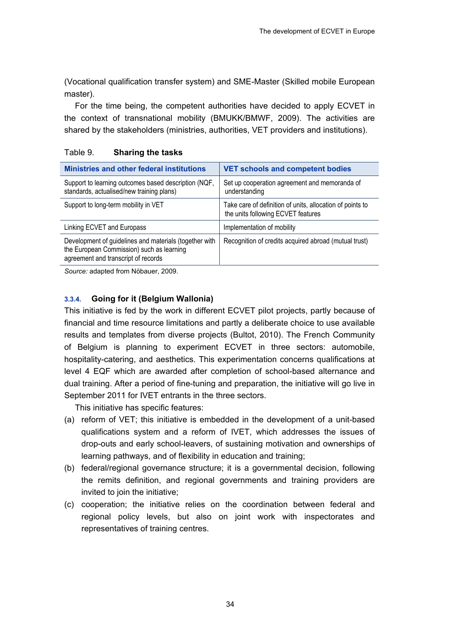(Vocational qualification transfer system) and SME-Master (Skilled mobile European master).

For the time being, the competent authorities have decided to apply ECVET in the context of transnational mobility (BMUKK/BMWF, 2009). The activities are shared by the stakeholders (ministries, authorities, VET providers and institutions).

| <b>Ministries and other federal institutions</b>                                                                                           | <b>VET schools and competent bodies</b>                                                         |
|--------------------------------------------------------------------------------------------------------------------------------------------|-------------------------------------------------------------------------------------------------|
| Support to learning outcomes based description (NQF,<br>standards, actualised/new training plans)                                          | Set up cooperation agreement and memoranda of<br>understanding                                  |
| Support to long-term mobility in VET                                                                                                       | Take care of definition of units, allocation of points to<br>the units following ECVET features |
| Linking ECVET and Europass                                                                                                                 | Implementation of mobility                                                                      |
| Development of guidelines and materials (together with<br>the European Commission) such as learning<br>agreement and transcript of records | Recognition of credits acquired abroad (mutual trust)                                           |

#### Table 9. **Sharing the tasks**

*Source:* adapted from Nöbauer, 2009.

### **3.3.4. Going for it (Belgium Wallonia)**

This initiative is fed by the work in different ECVET pilot projects, partly because of financial and time resource limitations and partly a deliberate choice to use available results and templates from diverse projects (Bultot, 2010). The French Community of Belgium is planning to experiment ECVET in three sectors: automobile, hospitality-catering, and aesthetics. This experimentation concerns qualifications at level 4 EQF which are awarded after completion of school-based alternance and dual training. After a period of fine-tuning and preparation, the initiative will go live in September 2011 for IVET entrants in the three sectors.

This initiative has specific features:

- (a) reform of VET; this initiative is embedded in the development of a unit-based qualifications system and a reform of IVET, which addresses the issues of drop-outs and early school-leavers, of sustaining motivation and ownerships of learning pathways, and of flexibility in education and training;
- (b) federal/regional governance structure; it is a governmental decision, following the remits definition, and regional governments and training providers are invited to join the initiative:
- (c) cooperation; the initiative relies on the coordination between federal and regional policy levels, but also on joint work with inspectorates and representatives of training centres.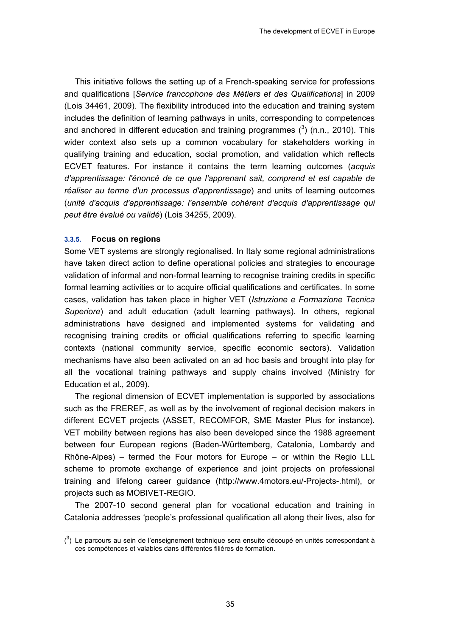This initiative follows the setting up of a French-speaking service for professions and qualifications [*Service francophone des Métiers et des Qualifications*] in 2009 (Lois 34461, 2009). The flexibility introduced into the education and training system includes the definition of learning pathways in units, corresponding to competences and anchored in different education and training programmes  $(^3)$  (n.n., 2010). This wider context also sets up a common vocabulary for stakeholders working in qualifying training and education, social promotion, and validation which reflects ECVET features. For instance it contains the term learning outcomes (*acquis d'apprentissage: l'énoncé de ce que l'apprenant sait, comprend et est capable de réaliser au terme d'un processus d'apprentissage*) and units of learning outcomes (*unité d'acquis d'apprentissage: l'ensemble cohérent d'acquis d'apprentissage qui peut être évalué ou validé*) (Lois 34255, 2009).

#### **3.3.5. Focus on regions**

-

Some VET systems are strongly regionalised. In Italy some regional administrations have taken direct action to define operational policies and strategies to encourage validation of informal and non-formal learning to recognise training credits in specific formal learning activities or to acquire official qualifications and certificates. In some cases, validation has taken place in higher VET (*Istruzione e Formazione Tecnica Superiore*) and adult education (adult learning pathways). In others, regional administrations have designed and implemented systems for validating and recognising training credits or official qualifications referring to specific learning contexts (national community service, specific economic sectors). Validation mechanisms have also been activated on an ad hoc basis and brought into play for all the vocational training pathways and supply chains involved (Ministry for Education et al., 2009).

The regional dimension of ECVET implementation is supported by associations such as the FREREF, as well as by the involvement of regional decision makers in different ECVET projects (ASSET, RECOMFOR, SME Master Plus for instance). VET mobility between regions has also been developed since the 1988 agreement between four European regions (Baden-Württemberg, Catalonia, Lombardy and Rhône-Alpes) – termed the Four motors for Europe – or within the Regio LLL scheme to promote exchange of experience and joint projects on professional training and lifelong career guidance (http://www.4motors.eu/-Projects-.html), or projects such as MOBIVET-REGIO.

The 2007-10 second general plan for vocational education and training in Catalonia addresses 'people's professional qualification all along their lives, also for

 $\binom{3}{1}$  Le parcours au sein de l'enseignement technique sera ensuite découpé en unités correspondant à ces compétences et valables dans différentes filières de formation.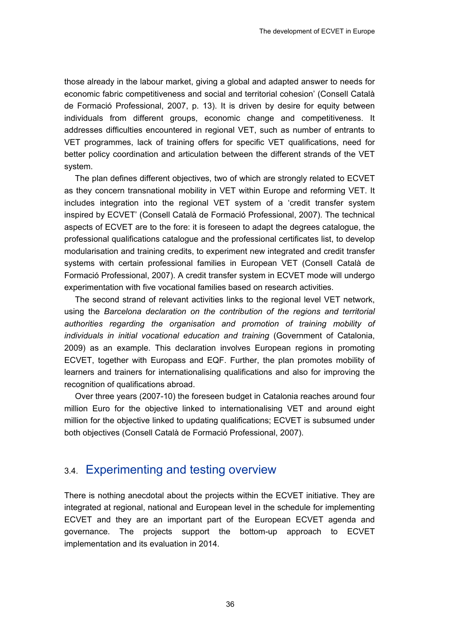those already in the labour market, giving a global and adapted answer to needs for economic fabric competitiveness and social and territorial cohesion' (Consell Català de Formació Professional, 2007, p. 13). It is driven by desire for equity between individuals from different groups, economic change and competitiveness. It addresses difficulties encountered in regional VET, such as number of entrants to VET programmes, lack of training offers for specific VET qualifications, need for better policy coordination and articulation between the different strands of the VET system.

The plan defines different objectives, two of which are strongly related to ECVET as they concern transnational mobility in VET within Europe and reforming VET. It includes integration into the regional VET system of a 'credit transfer system inspired by ECVET' (Consell Català de Formació Professional, 2007). The technical aspects of ECVET are to the fore: it is foreseen to adapt the degrees catalogue, the professional qualifications catalogue and the professional certificates list, to develop modularisation and training credits, to experiment new integrated and credit transfer systems with certain professional families in European VET (Consell Català de Formació Professional, 2007). A credit transfer system in ECVET mode will undergo experimentation with five vocational families based on research activities.

The second strand of relevant activities links to the regional level VET network, using the *Barcelona declaration on the contribution of the regions and territorial authorities regarding the organisation and promotion of training mobility of individuals in initial vocational education and training* (Government of Catalonia, 2009) as an example. This declaration involves European regions in promoting ECVET, together with Europass and EQF. Further, the plan promotes mobility of learners and trainers for internationalising qualifications and also for improving the recognition of qualifications abroad.

Over three years (2007-10) the foreseen budget in Catalonia reaches around four million Euro for the objective linked to internationalising VET and around eight million for the objective linked to updating qualifications; ECVET is subsumed under both objectives (Consell Català de Formació Professional, 2007).

## 3.4. Experimenting and testing overview

There is nothing anecdotal about the projects within the ECVET initiative. They are integrated at regional, national and European level in the schedule for implementing ECVET and they are an important part of the European ECVET agenda and governance. The projects support the bottom-up approach to ECVET implementation and its evaluation in 2014.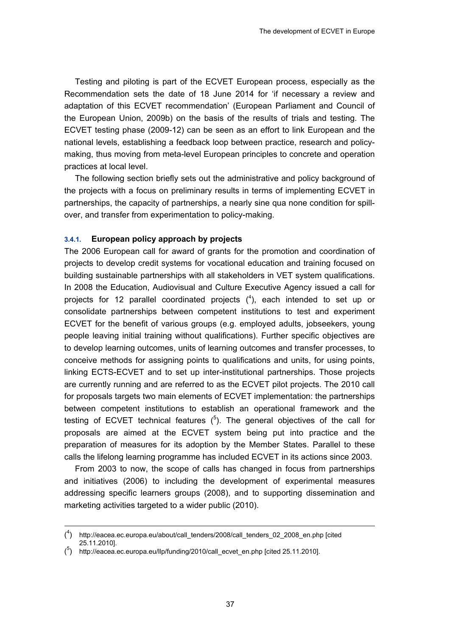Testing and piloting is part of the ECVET European process, especially as the Recommendation sets the date of 18 June 2014 for 'if necessary a review and adaptation of this ECVET recommendation' (European Parliament and Council of the European Union, 2009b) on the basis of the results of trials and testing. The ECVET testing phase (2009-12) can be seen as an effort to link European and the national levels, establishing a feedback loop between practice, research and policymaking, thus moving from meta-level European principles to concrete and operation practices at local level.

The following section briefly sets out the administrative and policy background of the projects with a focus on preliminary results in terms of implementing ECVET in partnerships, the capacity of partnerships, a nearly sine qua none condition for spillover, and transfer from experimentation to policy-making.

#### **3.4.1. European policy approach by projects**

The 2006 European call for award of grants for the promotion and coordination of projects to develop credit systems for vocational education and training focused on building sustainable partnerships with all stakeholders in VET system qualifications. In 2008 the Education, Audiovisual and Culture Executive Agency issued a call for projects for 12 parallel coordinated projects  $(^4)$ , each intended to set up or consolidate partnerships between competent institutions to test and experiment ECVET for the benefit of various groups (e.g. employed adults, jobseekers, young people leaving initial training without qualifications). Further specific objectives are to develop learning outcomes, units of learning outcomes and transfer processes, to conceive methods for assigning points to qualifications and units, for using points, linking ECTS-ECVET and to set up inter-institutional partnerships. Those projects are currently running and are referred to as the ECVET pilot projects. The 2010 call for proposals targets two main elements of ECVET implementation: the partnerships between competent institutions to establish an operational framework and the testing of ECVET technical features  $(5)$ . The general objectives of the call for proposals are aimed at the ECVET system being put into practice and the preparation of measures for its adoption by the Member States. Parallel to these calls the lifelong learning programme has included ECVET in its actions since 2003.

From 2003 to now, the scope of calls has changed in focus from partnerships and initiatives (2006) to including the development of experimental measures addressing specific learners groups (2008), and to supporting dissemination and marketing activities targeted to a wider public (2010).

-

<sup>(</sup> 4 ) http://eacea.ec.europa.eu/about/call\_tenders/2008/call\_tenders\_02\_2008\_en.php [cited 25.11.2010].

<sup>(</sup> 5 ) http://eacea.ec.europa.eu/llp/funding/2010/call\_ecvet\_en.php [cited 25.11.2010].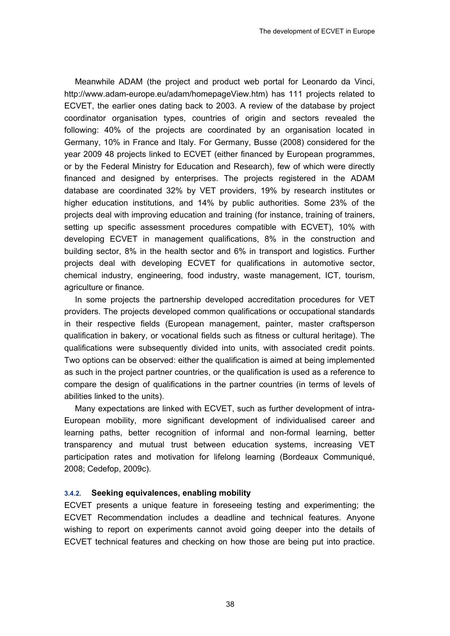Meanwhile ADAM (the project and product web portal for Leonardo da Vinci, http://www.adam-europe.eu/adam/homepageView.htm) has 111 projects related to ECVET, the earlier ones dating back to 2003. A review of the database by project coordinator organisation types, countries of origin and sectors revealed the following: 40% of the projects are coordinated by an organisation located in Germany, 10% in France and Italy. For Germany, Busse (2008) considered for the year 2009 48 projects linked to ECVET (either financed by European programmes, or by the Federal Ministry for Education and Research), few of which were directly financed and designed by enterprises. The projects registered in the ADAM database are coordinated 32% by VET providers, 19% by research institutes or higher education institutions, and 14% by public authorities. Some 23% of the projects deal with improving education and training (for instance, training of trainers, setting up specific assessment procedures compatible with ECVET), 10% with developing ECVET in management qualifications, 8% in the construction and building sector, 8% in the health sector and 6% in transport and logistics. Further projects deal with developing ECVET for qualifications in automotive sector, chemical industry, engineering, food industry, waste management, ICT, tourism, agriculture or finance.

In some projects the partnership developed accreditation procedures for VET providers. The projects developed common qualifications or occupational standards in their respective fields (European management, painter, master craftsperson qualification in bakery, or vocational fields such as fitness or cultural heritage). The qualifications were subsequently divided into units, with associated credit points. Two options can be observed: either the qualification is aimed at being implemented as such in the project partner countries, or the qualification is used as a reference to compare the design of qualifications in the partner countries (in terms of levels of abilities linked to the units).

Many expectations are linked with ECVET, such as further development of intra-European mobility, more significant development of individualised career and learning paths, better recognition of informal and non-formal learning, better transparency and mutual trust between education systems, increasing VET participation rates and motivation for lifelong learning (Bordeaux Communiqué, 2008; Cedefop, 2009c).

#### **3.4.2. Seeking equivalences, enabling mobility**

ECVET presents a unique feature in foreseeing testing and experimenting; the ECVET Recommendation includes a deadline and technical features. Anyone wishing to report on experiments cannot avoid going deeper into the details of ECVET technical features and checking on how those are being put into practice.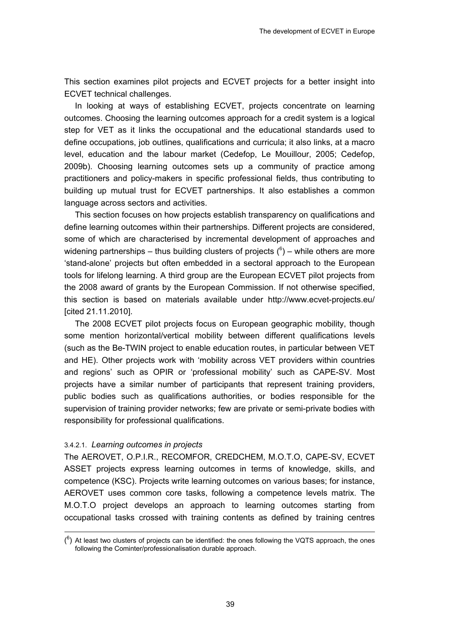This section examines pilot projects and ECVET projects for a better insight into ECVET technical challenges.

In looking at ways of establishing ECVET, projects concentrate on learning outcomes. Choosing the learning outcomes approach for a credit system is a logical step for VET as it links the occupational and the educational standards used to define occupations, job outlines, qualifications and curricula; it also links, at a macro level, education and the labour market (Cedefop, Le Mouillour, 2005; Cedefop, 2009b). Choosing learning outcomes sets up a community of practice among practitioners and policy-makers in specific professional fields, thus contributing to building up mutual trust for ECVET partnerships. It also establishes a common language across sectors and activities.

This section focuses on how projects establish transparency on qualifications and define learning outcomes within their partnerships. Different projects are considered, some of which are characterised by incremental development of approaches and widening partnerships – thus building clusters of projects  $(^6)$  – while others are more 'stand-alone' projects but often embedded in a sectoral approach to the European tools for lifelong learning. A third group are the European ECVET pilot projects from the 2008 award of grants by the European Commission. If not otherwise specified, this section is based on materials available under http://www.ecvet-projects.eu/ [cited 21.11.2010].

The 2008 ECVET pilot projects focus on European geographic mobility, though some mention horizontal/vertical mobility between different qualifications levels (such as the Be-TWIN project to enable education routes, in particular between VET and HE). Other projects work with 'mobility across VET providers within countries and regions' such as OPIR or 'professional mobility' such as CAPE-SV. Most projects have a similar number of participants that represent training providers, public bodies such as qualifications authorities, or bodies responsible for the supervision of training provider networks; few are private or semi-private bodies with responsibility for professional qualifications.

#### 3.4.2.1. *Learning outcomes in projects*

-

The AEROVET, O.P.I.R., RECOMFOR, CREDCHEM, M.O.T.O, CAPE-SV, ECVET ASSET projects express learning outcomes in terms of knowledge, skills, and competence (KSC). Projects write learning outcomes on various bases; for instance, AEROVET uses common core tasks, following a competence levels matrix. The M.O.T.O project develops an approach to learning outcomes starting from occupational tasks crossed with training contents as defined by training centres

 $(6)$  At least two clusters of projects can be identified: the ones following the VQTS approach, the ones following the Cominter/professionalisation durable approach.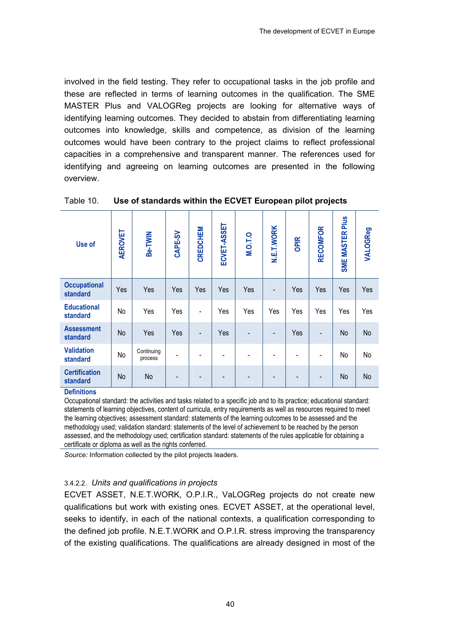involved in the field testing. They refer to occupational tasks in the job profile and these are reflected in terms of learning outcomes in the qualification. The SME MASTER Plus and VALOGReg projects are looking for alternative ways of identifying learning outcomes. They decided to abstain from differentiating learning outcomes into knowledge, skills and competence, as division of the learning outcomes would have been contrary to the project claims to reflect professional capacities in a comprehensive and transparent manner. The references used for identifying and agreeing on learning outcomes are presented in the following overview.

| Use of                               | <b>AEROVET</b> | Be-TWIN               | CAPE-SV | CREDCHEM                 | ECVET-ASSET | <b>M.O.T.O</b> | <b>N.E.T.WORK</b> | OPIR                         | <b>RECOMFOR</b> | SME MASTER Plus | VALOGReg |
|--------------------------------------|----------------|-----------------------|---------|--------------------------|-------------|----------------|-------------------|------------------------------|-----------------|-----------------|----------|
| <b>Occupational</b><br>standard      | Yes            | Yes                   | Yes     | Yes                      | Yes         | Yes            | $\overline{a}$    | Yes                          | Yes             | Yes             | Yes      |
| <b>Educational</b><br>standard       | No             | Yes                   | Yes     | $\overline{\phantom{a}}$ | Yes         | Yes            | Yes               | Yes                          | Yes             | Yes             | Yes      |
| <b>Assessment</b><br><b>standard</b> | <b>No</b>      | Yes                   | Yes     | $\overline{\phantom{a}}$ | Yes         |                |                   | Yes                          |                 | No              | No       |
| <b>Validation</b><br>standard        | No             | Continuing<br>process |         |                          |             |                |                   | $\qquad \qquad \blacksquare$ |                 | No              | No       |
| <b>Certification</b><br>standard     | No             | No                    |         |                          |             |                |                   |                              |                 | No              | No       |

#### Table 10. **Use of standards within the ECVET European pilot projects**

#### **Definitions**

Occupational standard: the activities and tasks related to a specific job and to its practice; educational standard: statements of learning objectives, content of curricula, entry requirements as well as resources required to meet the learning objectives; assessment standard: statements of the learning outcomes to be assessed and the methodology used; validation standard: statements of the level of achievement to be reached by the person assessed, and the methodology used; certification standard: statements of the rules applicable for obtaining a certificate or diploma as well as the rights conferred.

*Source:* Information collected by the pilot projects leaders.

#### 3.4.2.2. *Units and qualifications in projects*

ECVET ASSET, N.E.T.WORK, O.P.I.R., VaLOGReg projects do not create new qualifications but work with existing ones. ECVET ASSET, at the operational level, seeks to identify, in each of the national contexts, a qualification corresponding to the defined job profile. N.E.T.WORK and O.P.I.R. stress improving the transparency of the existing qualifications. The qualifications are already designed in most of the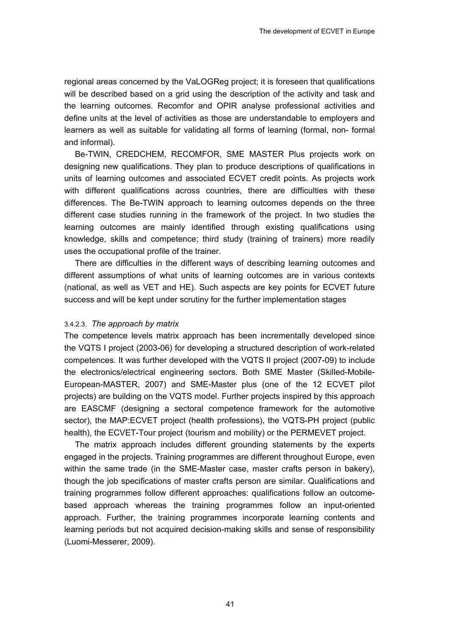regional areas concerned by the VaLOGReg project; it is foreseen that qualifications will be described based on a grid using the description of the activity and task and the learning outcomes. Recomfor and OPIR analyse professional activities and define units at the level of activities as those are understandable to employers and learners as well as suitable for validating all forms of learning (formal, non- formal and informal).

Be-TWIN, CREDCHEM, RECOMFOR, SME MASTER Plus projects work on designing new qualifications. They plan to produce descriptions of qualifications in units of learning outcomes and associated ECVET credit points. As projects work with different qualifications across countries, there are difficulties with these differences. The Be-TWIN approach to learning outcomes depends on the three different case studies running in the framework of the project. In two studies the learning outcomes are mainly identified through existing qualifications using knowledge, skills and competence; third study (training of trainers) more readily uses the occupational profile of the trainer.

There are difficulties in the different ways of describing learning outcomes and different assumptions of what units of learning outcomes are in various contexts (national, as well as VET and HE). Such aspects are key points for ECVET future success and will be kept under scrutiny for the further implementation stages

#### 3.4.2.3. *The approach by matrix*

The competence levels matrix approach has been incrementally developed since the VQTS I project (2003-06) for developing a structured description of work-related competences. It was further developed with the VQTS II project (2007-09) to include the electronics/electrical engineering sectors. Both SME Master (Skilled-Mobile-European-MASTER, 2007) and SME-Master plus (one of the 12 ECVET pilot projects) are building on the VQTS model. Further projects inspired by this approach are EASCMF (designing a sectoral competence framework for the automotive sector), the MAP:ECVET project (health professions), the VQTS-PH project (public health), the ECVET-Tour project (tourism and mobility) or the PERMEVET project.

The matrix approach includes different grounding statements by the experts engaged in the projects. Training programmes are different throughout Europe, even within the same trade (in the SME-Master case, master crafts person in bakery), though the job specifications of master crafts person are similar. Qualifications and training programmes follow different approaches: qualifications follow an outcomebased approach whereas the training programmes follow an input-oriented approach. Further, the training programmes incorporate learning contents and learning periods but not acquired decision-making skills and sense of responsibility (Luomi-Messerer, 2009).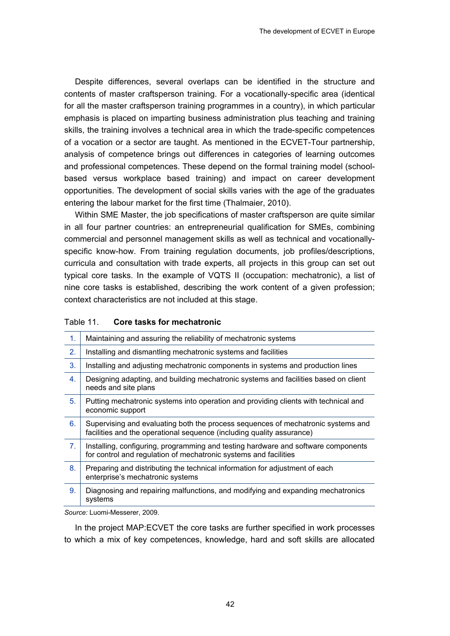Despite differences, several overlaps can be identified in the structure and contents of master craftsperson training. For a vocationally-specific area (identical for all the master craftsperson training programmes in a country), in which particular emphasis is placed on imparting business administration plus teaching and training skills, the training involves a technical area in which the trade-specific competences of a vocation or a sector are taught. As mentioned in the ECVET-Tour partnership, analysis of competence brings out differences in categories of learning outcomes and professional competences. These depend on the formal training model (schoolbased versus workplace based training) and impact on career development opportunities. The development of social skills varies with the age of the graduates entering the labour market for the first time (Thalmaier, 2010).

Within SME Master, the job specifications of master craftsperson are quite similar in all four partner countries: an entrepreneurial qualification for SMEs, combining commercial and personnel management skills as well as technical and vocationallyspecific know-how. From training regulation documents, job profiles/descriptions, curricula and consultation with trade experts, all projects in this group can set out typical core tasks. In the example of VQTS II (occupation: mechatronic), a list of nine core tasks is established, describing the work content of a given profession; context characteristics are not included at this stage.

#### Table 11. **Core tasks for mechatronic**

| 1.             | Maintaining and assuring the reliability of mechatronic systems                                                                                           |
|----------------|-----------------------------------------------------------------------------------------------------------------------------------------------------------|
| 2.             | Installing and dismantling mechatronic systems and facilities                                                                                             |
| 3.             | Installing and adjusting mechatronic components in systems and production lines                                                                           |
| 4.             | Designing adapting, and building mechatronic systems and facilities based on client<br>needs and site plans                                               |
| 5.             | Putting mechatronic systems into operation and providing clients with technical and<br>economic support                                                   |
| 6.             | Supervising and evaluating both the process sequences of mechatronic systems and<br>facilities and the operational sequence (including quality assurance) |
| 7 <sub>1</sub> | Installing, configuring, programming and testing hardware and software components<br>for control and regulation of mechatronic systems and facilities     |
| 8.             | Preparing and distributing the technical information for adjustment of each<br>enterprise's mechatronic systems                                           |
| 9.             | Diagnosing and repairing malfunctions, and modifying and expanding mechatronics<br>systems                                                                |

*Source:* Luomi-Messerer, 2009.

In the project MAP:ECVET the core tasks are further specified in work processes to which a mix of key competences, knowledge, hard and soft skills are allocated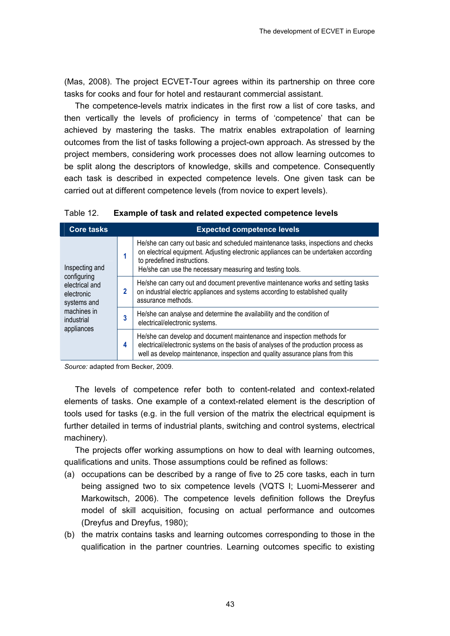(Mas, 2008). The project ECVET-Tour agrees within its partnership on three core tasks for cooks and four for hotel and restaurant commercial assistant.

The competence-levels matrix indicates in the first row a list of core tasks, and then vertically the levels of proficiency in terms of 'competence' that can be achieved by mastering the tasks. The matrix enables extrapolation of learning outcomes from the list of tasks following a project-own approach. As stressed by the project members, considering work processes does not allow learning outcomes to be split along the descriptors of knowledge, skills and competence. Consequently each task is described in expected competence levels. One given task can be carried out at different competence levels (from novice to expert levels).

| Table 12.<br><b>Example of task and related expected competence levels</b> |
|----------------------------------------------------------------------------|
|----------------------------------------------------------------------------|

| <b>Core tasks</b>                                          |                                                                                                               | <b>Expected competence levels</b>                                                                                                                                                                                                                                      |  |  |
|------------------------------------------------------------|---------------------------------------------------------------------------------------------------------------|------------------------------------------------------------------------------------------------------------------------------------------------------------------------------------------------------------------------------------------------------------------------|--|--|
| Inspecting and                                             |                                                                                                               | He/she can carry out basic and scheduled maintenance tasks, inspections and checks<br>on electrical equipment. Adjusting electronic appliances can be undertaken according<br>to predefined instructions.<br>He/she can use the necessary measuring and testing tools. |  |  |
| configuring<br>electrical and<br>electronic<br>systems and |                                                                                                               | He/she can carry out and document preventive maintenance works and setting tasks<br>on industrial electric appliances and systems according to established quality<br>assurance methods.                                                                               |  |  |
| machines in<br>industrial                                  | He/she can analyse and determine the availability and the condition of<br>3<br>electrical/electronic systems. |                                                                                                                                                                                                                                                                        |  |  |
| appliances                                                 | 4                                                                                                             | He/she can develop and document maintenance and inspection methods for<br>electrical/electronic systems on the basis of analyses of the production process as<br>well as develop maintenance, inspection and quality assurance plans from this                         |  |  |

*Source:* adapted from Becker, 2009.

The levels of competence refer both to content-related and context-related elements of tasks. One example of a context-related element is the description of tools used for tasks (e.g. in the full version of the matrix the electrical equipment is further detailed in terms of industrial plants, switching and control systems, electrical machinery).

The projects offer working assumptions on how to deal with learning outcomes, qualifications and units. Those assumptions could be refined as follows:

- (a) occupations can be described by a range of five to 25 core tasks, each in turn being assigned two to six competence levels (VQTS I; Luomi-Messerer and Markowitsch, 2006). The competence levels definition follows the Dreyfus model of skill acquisition, focusing on actual performance and outcomes (Dreyfus and Dreyfus, 1980);
- (b) the matrix contains tasks and learning outcomes corresponding to those in the qualification in the partner countries. Learning outcomes specific to existing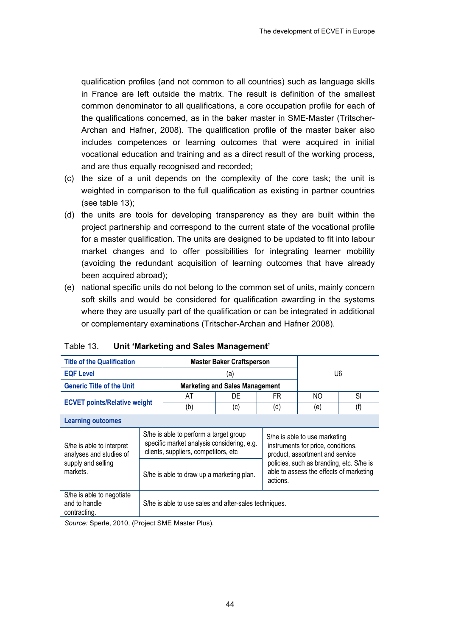qualification profiles (and not common to all countries) such as language skills in France are left outside the matrix. The result is definition of the smallest common denominator to all qualifications, a core occupation profile for each of the qualifications concerned, as in the baker master in SME-Master (Tritscher-Archan and Hafner, 2008). The qualification profile of the master baker also includes competences or learning outcomes that were acquired in initial vocational education and training and as a direct result of the working process, and are thus equally recognised and recorded;

- (c) the size of a unit depends on the complexity of the core task; the unit is weighted in comparison to the full qualification as existing in partner countries (see table 13);
- (d) the units are tools for developing transparency as they are built within the project partnership and correspond to the current state of the vocational profile for a master qualification. The units are designed to be updated to fit into labour market changes and to offer possibilities for integrating learner mobility (avoiding the redundant acquisition of learning outcomes that have already been acquired abroad);
- (e) national specific units do not belong to the common set of units, mainly concern soft skills and would be considered for qualification awarding in the systems where they are usually part of the qualification or can be integrated in additional or complementary examinations (Tritscher-Archan and Hafner 2008).

| <b>Title of the Qualification</b>                          | <b>Master Baker Craftsperson</b>                                                                                             |                                                                                                                                              |                                       |     |                                                                                                        |     |  |
|------------------------------------------------------------|------------------------------------------------------------------------------------------------------------------------------|----------------------------------------------------------------------------------------------------------------------------------------------|---------------------------------------|-----|--------------------------------------------------------------------------------------------------------|-----|--|
| <b>EQF Level</b>                                           | (a)                                                                                                                          |                                                                                                                                              |                                       | U6  |                                                                                                        |     |  |
| <b>Generic Title of the Unit</b>                           |                                                                                                                              |                                                                                                                                              | <b>Marketing and Sales Management</b> |     |                                                                                                        |     |  |
|                                                            |                                                                                                                              | AT                                                                                                                                           | DE                                    | FR  | NO.                                                                                                    | SI  |  |
| <b>ECVET points/Relative weight</b>                        |                                                                                                                              | (b)                                                                                                                                          | (c)                                   | (d) | (e)                                                                                                    | (f) |  |
| <b>Learning outcomes</b>                                   |                                                                                                                              |                                                                                                                                              |                                       |     |                                                                                                        |     |  |
| S/he is able to interpret<br>analyses and studies of       | S/he is able to perform a target group<br>specific market analysis considering, e.g.<br>clients, suppliers, competitors, etc |                                                                                                                                              |                                       |     | S/he is able to use marketing<br>instruments for price, conditions,<br>product, assortment and service |     |  |
| supply and selling<br>markets.                             |                                                                                                                              | policies, such as branding, etc. S/he is<br>able to assess the effects of marketing<br>S/he is able to draw up a marketing plan.<br>actions. |                                       |     |                                                                                                        |     |  |
| S/he is able to negotiate<br>and to handle<br>contracting. |                                                                                                                              | S/he is able to use sales and after-sales techniques.                                                                                        |                                       |     |                                                                                                        |     |  |

Table 13. **Unit 'Marketing and Sales Management'** 

*Source:* Sperle, 2010, (Project SME Master Plus).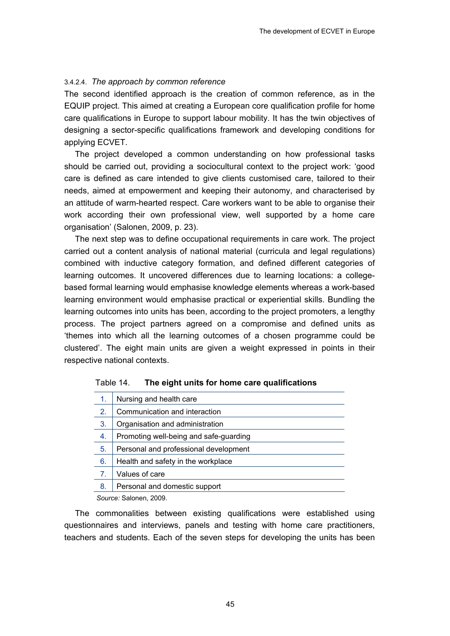#### 3.4.2.4. *The approach by common reference*

The second identified approach is the creation of common reference, as in the EQUIP project. This aimed at creating a European core qualification profile for home care qualifications in Europe to support labour mobility. It has the twin objectives of designing a sector-specific qualifications framework and developing conditions for applying ECVET.

The project developed a common understanding on how professional tasks should be carried out, providing a sociocultural context to the project work: 'good care is defined as care intended to give clients customised care, tailored to their needs, aimed at empowerment and keeping their autonomy, and characterised by an attitude of warm-hearted respect. Care workers want to be able to organise their work according their own professional view, well supported by a home care organisation' (Salonen, 2009, p. 23).

The next step was to define occupational requirements in care work. The project carried out a content analysis of national material (curricula and legal regulations) combined with inductive category formation, and defined different categories of learning outcomes. It uncovered differences due to learning locations: a collegebased formal learning would emphasise knowledge elements whereas a work-based learning environment would emphasise practical or experiential skills. Bundling the learning outcomes into units has been, according to the project promoters, a lengthy process. The project partners agreed on a compromise and defined units as 'themes into which all the learning outcomes of a chosen programme could be clustered'. The eight main units are given a weight expressed in points in their respective national contexts.

| 1. | Nursing and health care                |
|----|----------------------------------------|
| 2. | Communication and interaction          |
| 3. | Organisation and administration        |
| 4. | Promoting well-being and safe-guarding |
| 5. | Personal and professional development  |
| 6. | Health and safety in the workplace     |
| 7. | Values of care                         |
| 8. | Personal and domestic support          |
|    |                                        |

| Table 14. | The eight units for home care qualifications |  |  |
|-----------|----------------------------------------------|--|--|
|-----------|----------------------------------------------|--|--|

*Source:* Salonen, 2009.

The commonalities between existing qualifications were established using questionnaires and interviews, panels and testing with home care practitioners, teachers and students. Each of the seven steps for developing the units has been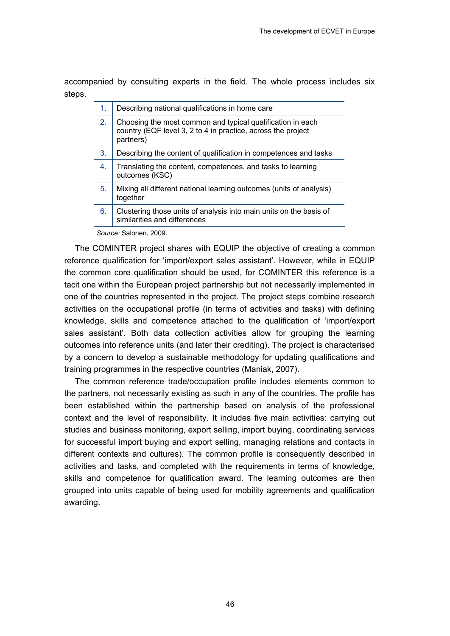accompanied by consulting experts in the field. The whole process includes six steps.

| 1. | Describing national qualifications in home care                                                                                         |
|----|-----------------------------------------------------------------------------------------------------------------------------------------|
| 2. | Choosing the most common and typical qualification in each<br>country (EQF level 3, 2 to 4 in practice, across the project<br>partners) |
| 3. | Describing the content of qualification in competences and tasks                                                                        |
| 4. | Translating the content, competences, and tasks to learning<br>outcomes (KSC)                                                           |
| 5. | Mixing all different national learning outcomes (units of analysis)<br>together                                                         |
| 6. | Clustering those units of analysis into main units on the basis of<br>similarities and differences                                      |

*Source:* Salonen, 2009.

The COMINTER project shares with EQUIP the objective of creating a common reference qualification for 'import/export sales assistant'. However, while in EQUIP the common core qualification should be used, for COMINTER this reference is a tacit one within the European project partnership but not necessarily implemented in one of the countries represented in the project. The project steps combine research activities on the occupational profile (in terms of activities and tasks) with defining knowledge, skills and competence attached to the qualification of 'import/export sales assistant'. Both data collection activities allow for grouping the learning outcomes into reference units (and later their crediting). The project is characterised by a concern to develop a sustainable methodology for updating qualifications and training programmes in the respective countries (Maniak, 2007).

The common reference trade/occupation profile includes elements common to the partners, not necessarily existing as such in any of the countries. The profile has been established within the partnership based on analysis of the professional context and the level of responsibility. It includes five main activities: carrying out studies and business monitoring, export selling, import buying, coordinating services for successful import buying and export selling, managing relations and contacts in different contexts and cultures). The common profile is consequently described in activities and tasks, and completed with the requirements in terms of knowledge, skills and competence for qualification award. The learning outcomes are then grouped into units capable of being used for mobility agreements and qualification awarding.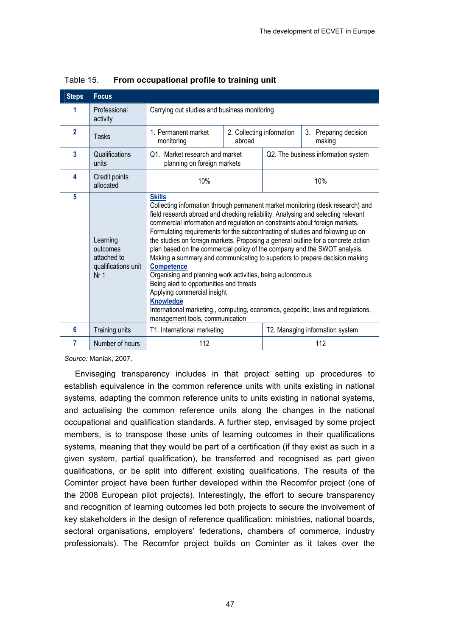| <b>Steps</b>   | <b>Focus</b>                                                                  |                                                                                                                                                                                                                                                                                                                                                                                                                                                                                                                                                                                                                                                                                                                                                                                                                                                                                                               |  |                       |                                 |
|----------------|-------------------------------------------------------------------------------|---------------------------------------------------------------------------------------------------------------------------------------------------------------------------------------------------------------------------------------------------------------------------------------------------------------------------------------------------------------------------------------------------------------------------------------------------------------------------------------------------------------------------------------------------------------------------------------------------------------------------------------------------------------------------------------------------------------------------------------------------------------------------------------------------------------------------------------------------------------------------------------------------------------|--|-----------------------|---------------------------------|
|                | Professional<br>activity                                                      | Carrying out studies and business monitoring                                                                                                                                                                                                                                                                                                                                                                                                                                                                                                                                                                                                                                                                                                                                                                                                                                                                  |  |                       |                                 |
| $\overline{2}$ | <b>Tasks</b>                                                                  | 1. Permanent market<br>2. Collecting information<br>abroad<br>making<br>monitoring                                                                                                                                                                                                                                                                                                                                                                                                                                                                                                                                                                                                                                                                                                                                                                                                                            |  | 3. Preparing decision |                                 |
| 3              | Qualifications<br>units                                                       | Q1. Market research and market<br>Q2. The business information system<br>planning on foreign markets                                                                                                                                                                                                                                                                                                                                                                                                                                                                                                                                                                                                                                                                                                                                                                                                          |  |                       |                                 |
| 4              | Credit points<br>allocated                                                    | 10%                                                                                                                                                                                                                                                                                                                                                                                                                                                                                                                                                                                                                                                                                                                                                                                                                                                                                                           |  | 10%                   |                                 |
| 5              | Learning<br>outcomes<br>attached to<br>qualifications unit<br>Nr <sub>1</sub> | <b>Skills</b><br>Collecting information through permanent market monitoring (desk research) and<br>field research abroad and checking reliability. Analysing and selecting relevant<br>commercial information and regulation on constraints about foreign markets.<br>Formulating requirements for the subcontracting of studies and following up on<br>the studies on foreign markets. Proposing a general outline for a concrete action<br>plan based on the commercial policy of the company and the SWOT analysis.<br>Making a summary and communicating to superiors to prepare decision making<br><b>Competence</b><br>Organising and planning work activities, being autonomous<br>Being alert to opportunities and threats<br>Applying commercial insight<br><b>Knowledge</b><br>International marketing., computing, economics, geopolitic, laws and regulations,<br>management tools, communication |  |                       |                                 |
| 6              | Training units                                                                | T1. International marketing                                                                                                                                                                                                                                                                                                                                                                                                                                                                                                                                                                                                                                                                                                                                                                                                                                                                                   |  |                       | T2. Managing information system |
| 7              | Number of hours                                                               | 112                                                                                                                                                                                                                                                                                                                                                                                                                                                                                                                                                                                                                                                                                                                                                                                                                                                                                                           |  |                       | 112                             |

#### Table 15. **From occupational profile to training unit**

*Source:* Maniak, 2007.

Envisaging transparency includes in that project setting up procedures to establish equivalence in the common reference units with units existing in national systems, adapting the common reference units to units existing in national systems, and actualising the common reference units along the changes in the national occupational and qualification standards. A further step, envisaged by some project members, is to transpose these units of learning outcomes in their qualifications systems, meaning that they would be part of a certification (if they exist as such in a given system, partial qualification), be transferred and recognised as part given qualifications, or be split into different existing qualifications. The results of the Cominter project have been further developed within the Recomfor project (one of the 2008 European pilot projects). Interestingly, the effort to secure transparency and recognition of learning outcomes led both projects to secure the involvement of key stakeholders in the design of reference qualification: ministries, national boards, sectoral organisations, employers' federations, chambers of commerce, industry professionals). The Recomfor project builds on Cominter as it takes over the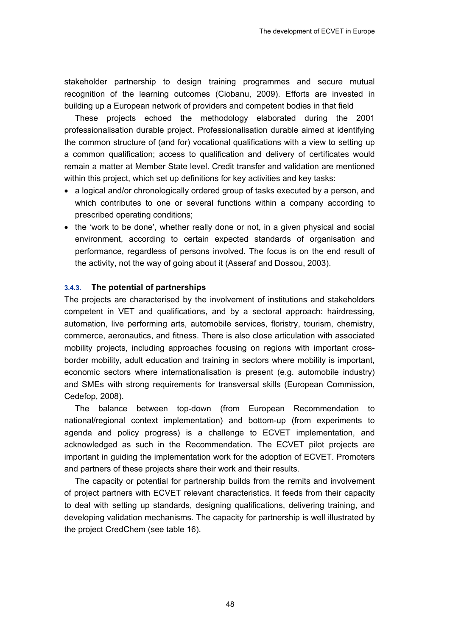stakeholder partnership to design training programmes and secure mutual recognition of the learning outcomes (Ciobanu, 2009). Efforts are invested in building up a European network of providers and competent bodies in that field

These projects echoed the methodology elaborated during the 2001 professionalisation durable project. Professionalisation durable aimed at identifying the common structure of (and for) vocational qualifications with a view to setting up a common qualification; access to qualification and delivery of certificates would remain a matter at Member State level. Credit transfer and validation are mentioned within this project, which set up definitions for key activities and key tasks:

- a logical and/or chronologically ordered group of tasks executed by a person, and which contributes to one or several functions within a company according to prescribed operating conditions;
- the 'work to be done', whether really done or not, in a given physical and social environment, according to certain expected standards of organisation and performance, regardless of persons involved. The focus is on the end result of the activity, not the way of going about it (Asseraf and Dossou, 2003).

#### **3.4.3. The potential of partnerships**

The projects are characterised by the involvement of institutions and stakeholders competent in VET and qualifications, and by a sectoral approach: hairdressing, automation, live performing arts, automobile services, floristry, tourism, chemistry, commerce, aeronautics, and fitness. There is also close articulation with associated mobility projects, including approaches focusing on regions with important crossborder mobility, adult education and training in sectors where mobility is important, economic sectors where internationalisation is present (e.g. automobile industry) and SMEs with strong requirements for transversal skills (European Commission, Cedefop, 2008).

The balance between top-down (from European Recommendation to national/regional context implementation) and bottom-up (from experiments to agenda and policy progress) is a challenge to ECVET implementation, and acknowledged as such in the Recommendation. The ECVET pilot projects are important in guiding the implementation work for the adoption of ECVET. Promoters and partners of these projects share their work and their results.

The capacity or potential for partnership builds from the remits and involvement of project partners with ECVET relevant characteristics. It feeds from their capacity to deal with setting up standards, designing qualifications, delivering training, and developing validation mechanisms. The capacity for partnership is well illustrated by the project CredChem (see table 16).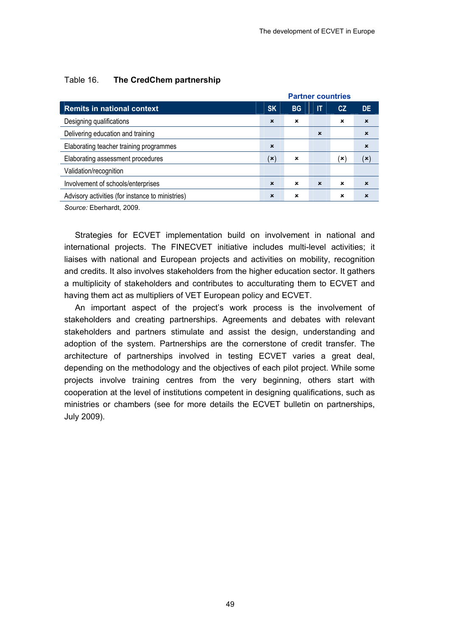|                                                  | <b>Partner countries</b>  |                           |                           |             |                           |
|--------------------------------------------------|---------------------------|---------------------------|---------------------------|-------------|---------------------------|
| <b>Remits in national context</b>                | <b>SK</b>                 | <b>BG</b>                 | IT                        | CZ          | <b>DE</b>                 |
| Designing qualifications                         | $\boldsymbol{\mathsf{x}}$ | ×                         |                           | ×           | $\boldsymbol{\mathsf{x}}$ |
| Delivering education and training                |                           |                           | $\boldsymbol{\mathsf{x}}$ |             | $\boldsymbol{\mathsf{x}}$ |
| Elaborating teacher training programmes          | $\boldsymbol{\mathsf{x}}$ |                           |                           |             | $\boldsymbol{\mathsf{x}}$ |
| Elaborating assessment procedures                | $(\mathbf{x})$            | $\boldsymbol{\mathsf{x}}$ |                           | ัx ∖        | (x)                       |
| Validation/recognition                           |                           |                           |                           |             |                           |
| Involvement of schools/enterprises               | $\mathbf x$               | $\mathbf x$               | $\mathbf x$               | $\mathbf x$ | $\mathbf x$               |
| Advisory activities (for instance to ministries) | $\boldsymbol{\mathsf{x}}$ | ×                         |                           | ×           | $\mathbf x$               |
|                                                  |                           |                           |                           |             |                           |

#### Table 16. **The CredChem partnership**

*Source:* Eberhardt, 2009.

Strategies for ECVET implementation build on involvement in national and international projects. The FINECVET initiative includes multi-level activities; it liaises with national and European projects and activities on mobility, recognition and credits. It also involves stakeholders from the higher education sector. It gathers a multiplicity of stakeholders and contributes to acculturating them to ECVET and having them act as multipliers of VET European policy and ECVET.

An important aspect of the project's work process is the involvement of stakeholders and creating partnerships. Agreements and debates with relevant stakeholders and partners stimulate and assist the design, understanding and adoption of the system. Partnerships are the cornerstone of credit transfer. The architecture of partnerships involved in testing ECVET varies a great deal, depending on the methodology and the objectives of each pilot project. While some projects involve training centres from the very beginning, others start with cooperation at the level of institutions competent in designing qualifications, such as ministries or chambers (see for more details the ECVET bulletin on partnerships, July 2009).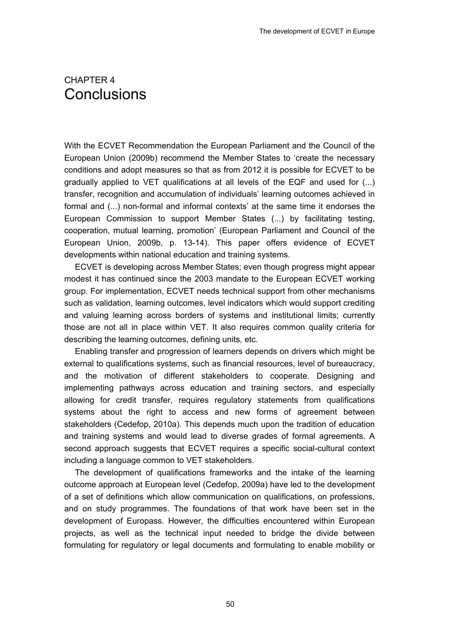## 4. CHAPTER 4 **Conclusions**

With the ECVET Recommendation the European Parliament and the Council of the European Union (2009b) recommend the Member States to 'create the necessary conditions and adopt measures so that as from 2012 it is possible for ECVET to be gradually applied to VET qualifications at all levels of the EQF and used for (...) transfer, recognition and accumulation of individuals' learning outcomes achieved in formal and (...) non-formal and informal contexts' at the same time it endorses the European Commission to support Member States (...) by facilitating testing, cooperation, mutual learning, promotion' (European Parliament and Council of the European Union, 2009b, p. 13-14). This paper offers evidence of ECVET developments within national education and training systems.

ECVET is developing across Member States; even though progress might appear modest it has continued since the 2003 mandate to the European ECVET working group. For implementation, ECVET needs technical support from other mechanisms such as validation, learning outcomes, level indicators which would support crediting and valuing learning across borders of systems and institutional limits; currently those are not all in place within VET. It also requires common quality criteria for describing the learning outcomes, defining units, etc.

Enabling transfer and progression of learners depends on drivers which might be external to qualifications systems, such as financial resources, level of bureaucracy, and the motivation of different stakeholders to cooperate. Designing and implementing pathways across education and training sectors, and especially allowing for credit transfer, requires regulatory statements from qualifications systems about the right to access and new forms of agreement between stakeholders (Cedefop, 2010a). This depends much upon the tradition of education and training systems and would lead to diverse grades of formal agreements. A second approach suggests that ECVET requires a specific social-cultural context including a language common to VET stakeholders.

The development of qualifications frameworks and the intake of the learning outcome approach at European level (Cedefop, 2009a) have led to the development of a set of definitions which allow communication on qualifications, on professions, and on study programmes. The foundations of that work have been set in the development of Europass. However, the difficulties encountered within European projects, as well as the technical input needed to bridge the divide between formulating for regulatory or legal documents and formulating to enable mobility or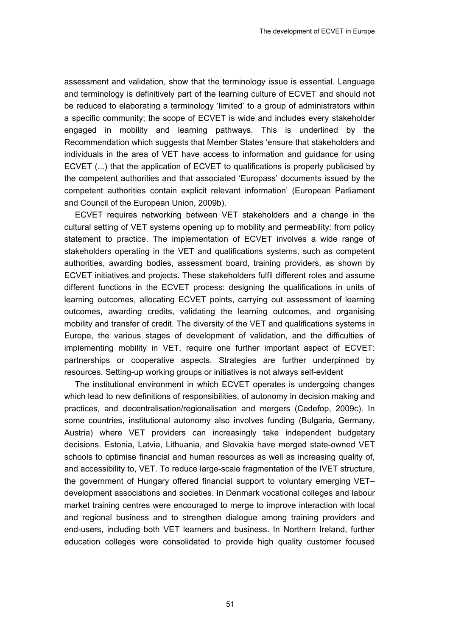assessment and validation, show that the terminology issue is essential. Language and terminology is definitively part of the learning culture of ECVET and should not be reduced to elaborating a terminology 'limited' to a group of administrators within a specific community; the scope of ECVET is wide and includes every stakeholder engaged in mobility and learning pathways. This is underlined by the Recommendation which suggests that Member States 'ensure that stakeholders and individuals in the area of VET have access to information and guidance for using ECVET (...) that the application of ECVET to qualifications is properly publicised by the competent authorities and that associated 'Europass' documents issued by the competent authorities contain explicit relevant information' (European Parliament and Council of the European Union, 2009b).

ECVET requires networking between VET stakeholders and a change in the cultural setting of VET systems opening up to mobility and permeability: from policy statement to practice. The implementation of ECVET involves a wide range of stakeholders operating in the VET and qualifications systems, such as competent authorities, awarding bodies, assessment board, training providers, as shown by ECVET initiatives and projects. These stakeholders fulfil different roles and assume different functions in the ECVET process: designing the qualifications in units of learning outcomes, allocating ECVET points, carrying out assessment of learning outcomes, awarding credits, validating the learning outcomes, and organising mobility and transfer of credit. The diversity of the VET and qualifications systems in Europe, the various stages of development of validation, and the difficulties of implementing mobility in VET, require one further important aspect of ECVET: partnerships or cooperative aspects. Strategies are further underpinned by resources. Setting-up working groups or initiatives is not always self-evident

The institutional environment in which ECVET operates is undergoing changes which lead to new definitions of responsibilities, of autonomy in decision making and practices, and decentralisation/regionalisation and mergers (Cedefop, 2009c). In some countries, institutional autonomy also involves funding (Bulgaria, Germany, Austria) where VET providers can increasingly take independent budgetary decisions. Estonia, Latvia, Lithuania, and Slovakia have merged state-owned VET schools to optimise financial and human resources as well as increasing quality of, and accessibility to, VET. To reduce large-scale fragmentation of the IVET structure, the government of Hungary offered financial support to voluntary emerging VET– development associations and societies. In Denmark vocational colleges and labour market training centres were encouraged to merge to improve interaction with local and regional business and to strengthen dialogue among training providers and end-users, including both VET learners and business. In Northern Ireland, further education colleges were consolidated to provide high quality customer focused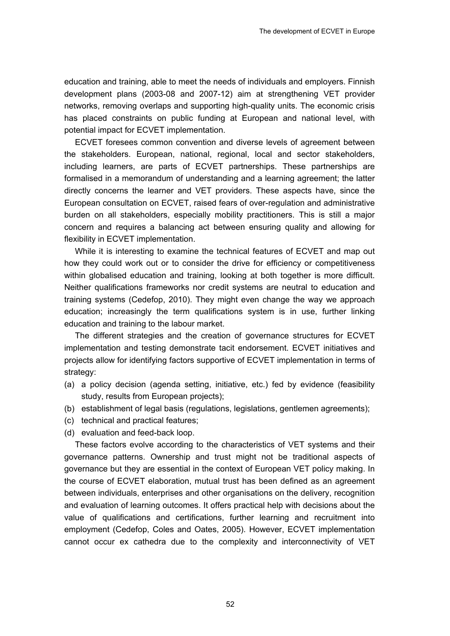education and training, able to meet the needs of individuals and employers. Finnish development plans (2003-08 and 2007-12) aim at strengthening VET provider networks, removing overlaps and supporting high-quality units. The economic crisis has placed constraints on public funding at European and national level, with potential impact for ECVET implementation.

ECVET foresees common convention and diverse levels of agreement between the stakeholders. European, national, regional, local and sector stakeholders, including learners, are parts of ECVET partnerships. These partnerships are formalised in a memorandum of understanding and a learning agreement; the latter directly concerns the learner and VET providers. These aspects have, since the European consultation on ECVET, raised fears of over-regulation and administrative burden on all stakeholders, especially mobility practitioners. This is still a major concern and requires a balancing act between ensuring quality and allowing for flexibility in ECVET implementation.

While it is interesting to examine the technical features of ECVET and map out how they could work out or to consider the drive for efficiency or competitiveness within globalised education and training, looking at both together is more difficult. Neither qualifications frameworks nor credit systems are neutral to education and training systems (Cedefop, 2010). They might even change the way we approach education; increasingly the term qualifications system is in use, further linking education and training to the labour market.

The different strategies and the creation of governance structures for ECVET implementation and testing demonstrate tacit endorsement. ECVET initiatives and projects allow for identifying factors supportive of ECVET implementation in terms of strategy:

- (a) a policy decision (agenda setting, initiative, etc.) fed by evidence (feasibility study, results from European projects);
- (b) establishment of legal basis (regulations, legislations, gentlemen agreements);
- (c) technical and practical features;
- (d) evaluation and feed-back loop.

These factors evolve according to the characteristics of VET systems and their governance patterns. Ownership and trust might not be traditional aspects of governance but they are essential in the context of European VET policy making. In the course of ECVET elaboration, mutual trust has been defined as an agreement between individuals, enterprises and other organisations on the delivery, recognition and evaluation of learning outcomes. It offers practical help with decisions about the value of qualifications and certifications, further learning and recruitment into employment (Cedefop, Coles and Oates, 2005). However, ECVET implementation cannot occur ex cathedra due to the complexity and interconnectivity of VET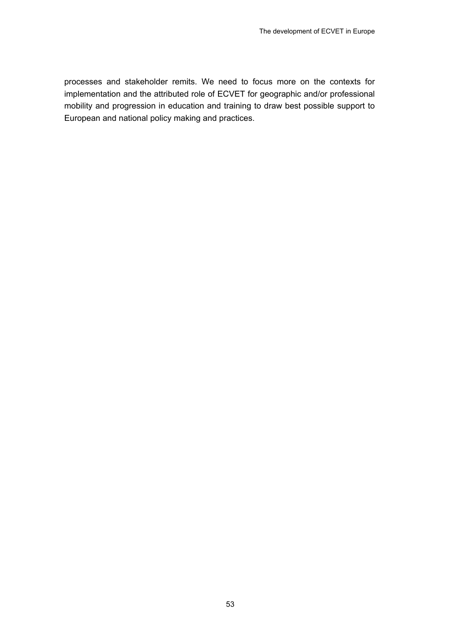processes and stakeholder remits. We need to focus more on the contexts for implementation and the attributed role of ECVET for geographic and/or professional mobility and progression in education and training to draw best possible support to European and national policy making and practices.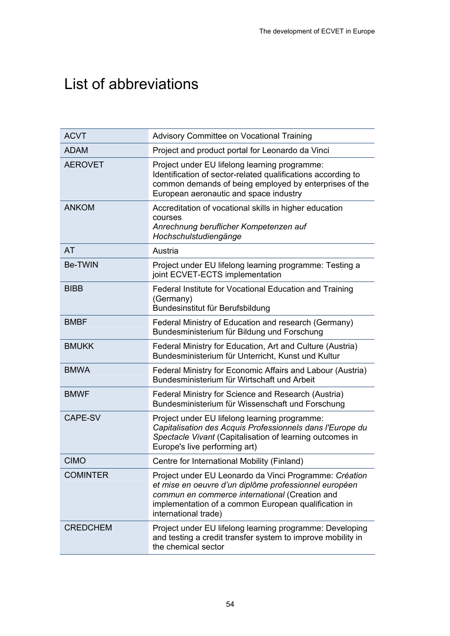# List of abbreviations

| <b>ACVT</b>     | Advisory Committee on Vocational Training                                                                                                                                                                                                         |
|-----------------|---------------------------------------------------------------------------------------------------------------------------------------------------------------------------------------------------------------------------------------------------|
| <b>ADAM</b>     | Project and product portal for Leonardo da Vinci                                                                                                                                                                                                  |
| <b>AEROVET</b>  | Project under EU lifelong learning programme:<br>Identification of sector-related qualifications according to<br>common demands of being employed by enterprises of the<br>European aeronautic and space industry                                 |
| <b>ANKOM</b>    | Accreditation of vocational skills in higher education<br>courses<br>Anrechnung beruflicher Kompetenzen auf<br>Hochschulstudiengänge                                                                                                              |
| <b>AT</b>       | Austria                                                                                                                                                                                                                                           |
| <b>Be-TWIN</b>  | Project under EU lifelong learning programme: Testing a<br>joint ECVET-ECTS implementation                                                                                                                                                        |
| <b>BIBB</b>     | Federal Institute for Vocational Education and Training<br>(Germany)<br>Bundesinstitut für Berufsbildung                                                                                                                                          |
| <b>BMBF</b>     | Federal Ministry of Education and research (Germany)<br>Bundesministerium für Bildung und Forschung                                                                                                                                               |
| <b>BMUKK</b>    | Federal Ministry for Education, Art and Culture (Austria)<br>Bundesministerium für Unterricht, Kunst und Kultur                                                                                                                                   |
| <b>BMWA</b>     | Federal Ministry for Economic Affairs and Labour (Austria)<br>Bundesministerium für Wirtschaft und Arbeit                                                                                                                                         |
| <b>BMWF</b>     | Federal Ministry for Science and Research (Austria)<br>Bundesministerium für Wissenschaft und Forschung                                                                                                                                           |
| CAPE-SV         | Project under EU lifelong learning programme:<br>Capitalisation des Acquis Professionnels dans l'Europe du<br>Spectacle Vivant (Capitalisation of learning outcomes in<br>Europe's live performing art)                                           |
| <b>CIMO</b>     | Centre for International Mobility (Finland)                                                                                                                                                                                                       |
| <b>COMINTER</b> | Project under EU Leonardo da Vinci Programme: Création<br>et mise en oeuvre d'un diplôme professionnel européen<br>commun en commerce international (Creation and<br>implementation of a common European qualification in<br>international trade) |
| <b>CREDCHEM</b> | Project under EU lifelong learning programme: Developing<br>and testing a credit transfer system to improve mobility in<br>the chemical sector                                                                                                    |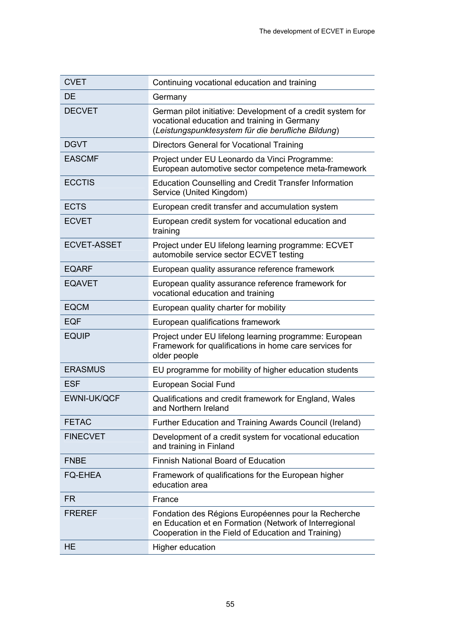| <b>CVET</b>        | Continuing vocational education and training                                                                                                                         |
|--------------------|----------------------------------------------------------------------------------------------------------------------------------------------------------------------|
| DE                 | Germany                                                                                                                                                              |
| <b>DECVET</b>      | German pilot initiative: Development of a credit system for<br>vocational education and training in Germany<br>(Leistungspunktesystem für die berufliche Bildung)    |
| <b>DGVT</b>        | Directors General for Vocational Training                                                                                                                            |
| <b>EASCMF</b>      | Project under EU Leonardo da Vinci Programme:<br>European automotive sector competence meta-framework                                                                |
| <b>ECCTIS</b>      | <b>Education Counselling and Credit Transfer Information</b><br>Service (United Kingdom)                                                                             |
| <b>ECTS</b>        | European credit transfer and accumulation system                                                                                                                     |
| <b>ECVET</b>       | European credit system for vocational education and<br>training                                                                                                      |
| <b>ECVET-ASSET</b> | Project under EU lifelong learning programme: ECVET<br>automobile service sector ECVET testing                                                                       |
| <b>EQARF</b>       | European quality assurance reference framework                                                                                                                       |
| <b>EQAVET</b>      | European quality assurance reference framework for<br>vocational education and training                                                                              |
| <b>EQCM</b>        | European quality charter for mobility                                                                                                                                |
| <b>EQF</b>         | European qualifications framework                                                                                                                                    |
| <b>EQUIP</b>       | Project under EU lifelong learning programme: European<br>Framework for qualifications in home care services for<br>older people                                     |
| <b>ERASMUS</b>     | EU programme for mobility of higher education students                                                                                                               |
| <b>ESF</b>         | European Social Fund                                                                                                                                                 |
| <b>EWNI-UK/QCF</b> | Qualifications and credit framework for England, Wales<br>and Northern Ireland                                                                                       |
| <b>FETAC</b>       | Further Education and Training Awards Council (Ireland)                                                                                                              |
| <b>FINECVET</b>    | Development of a credit system for vocational education<br>and training in Finland                                                                                   |
| <b>FNBE</b>        | <b>Finnish National Board of Education</b>                                                                                                                           |
| <b>FQ-EHEA</b>     | Framework of qualifications for the European higher<br>education area                                                                                                |
| FR                 | France                                                                                                                                                               |
| <b>FREREF</b>      | Fondation des Régions Européennes pour la Recherche<br>en Education et en Formation (Network of Interregional<br>Cooperation in the Field of Education and Training) |
| <b>HE</b>          | <b>Higher education</b>                                                                                                                                              |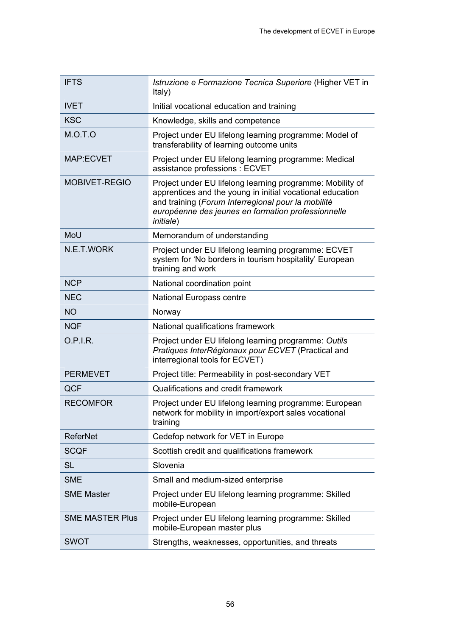| <b>IFTS</b>            | Istruzione e Formazione Tecnica Superiore (Higher VET in<br>Italy)                                                                                                                                                                                      |
|------------------------|---------------------------------------------------------------------------------------------------------------------------------------------------------------------------------------------------------------------------------------------------------|
| <b>IVET</b>            | Initial vocational education and training                                                                                                                                                                                                               |
| <b>KSC</b>             | Knowledge, skills and competence                                                                                                                                                                                                                        |
| M.O.T.O                | Project under EU lifelong learning programme: Model of<br>transferability of learning outcome units                                                                                                                                                     |
| <b>MAP:ECVET</b>       | Project under EU lifelong learning programme: Medical<br>assistance professions : ECVET                                                                                                                                                                 |
| <b>MOBIVET-REGIO</b>   | Project under EU lifelong learning programme: Mobility of<br>apprentices and the young in initial vocational education<br>and training (Forum Interregional pour la mobilité<br>européenne des jeunes en formation professionnelle<br><i>initiale</i> ) |
| MoU                    | Memorandum of understanding                                                                                                                                                                                                                             |
| N.E.T.WORK             | Project under EU lifelong learning programme: ECVET<br>system for 'No borders in tourism hospitality' European<br>training and work                                                                                                                     |
| <b>NCP</b>             | National coordination point                                                                                                                                                                                                                             |
| <b>NEC</b>             | <b>National Europass centre</b>                                                                                                                                                                                                                         |
| <b>NO</b>              | Norway                                                                                                                                                                                                                                                  |
| <b>NQF</b>             | National qualifications framework                                                                                                                                                                                                                       |
| O.P.I.R.               | Project under EU lifelong learning programme: Outils<br>Pratiques InterRégionaux pour ECVET (Practical and<br>interregional tools for ECVET)                                                                                                            |
| <b>PERMEVET</b>        | Project title: Permeability in post-secondary VET                                                                                                                                                                                                       |
| QCF                    | Qualifications and credit framework                                                                                                                                                                                                                     |
| <b>RECOMFOR</b>        | Project under EU lifelong learning programme: European<br>network for mobility in import/export sales vocational<br>training                                                                                                                            |
| <b>ReferNet</b>        | Cedefop network for VET in Europe                                                                                                                                                                                                                       |
| <b>SCQF</b>            | Scottish credit and qualifications framework                                                                                                                                                                                                            |
| <b>SL</b>              | Slovenia                                                                                                                                                                                                                                                |
| <b>SME</b>             | Small and medium-sized enterprise                                                                                                                                                                                                                       |
| <b>SME Master</b>      | Project under EU lifelong learning programme: Skilled<br>mobile-European                                                                                                                                                                                |
| <b>SME MASTER Plus</b> | Project under EU lifelong learning programme: Skilled<br>mobile-European master plus                                                                                                                                                                    |
| <b>SWOT</b>            | Strengths, weaknesses, opportunities, and threats                                                                                                                                                                                                       |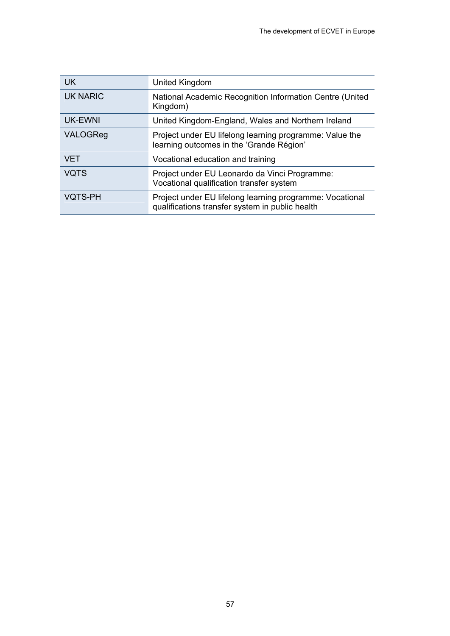| <b>UK</b>       | United Kingdom                                                                                              |
|-----------------|-------------------------------------------------------------------------------------------------------------|
| <b>UK NARIC</b> | National Academic Recognition Information Centre (United<br>Kingdom)                                        |
| <b>UK-EWNI</b>  | United Kingdom-England, Wales and Northern Ireland                                                          |
| VALOGReg        | Project under EU lifelong learning programme: Value the<br>learning outcomes in the 'Grande Région'         |
| <b>VET</b>      | Vocational education and training                                                                           |
| <b>VQTS</b>     | Project under EU Leonardo da Vinci Programme:<br>Vocational qualification transfer system                   |
| <b>VQTS-PH</b>  | Project under EU lifelong learning programme: Vocational<br>qualifications transfer system in public health |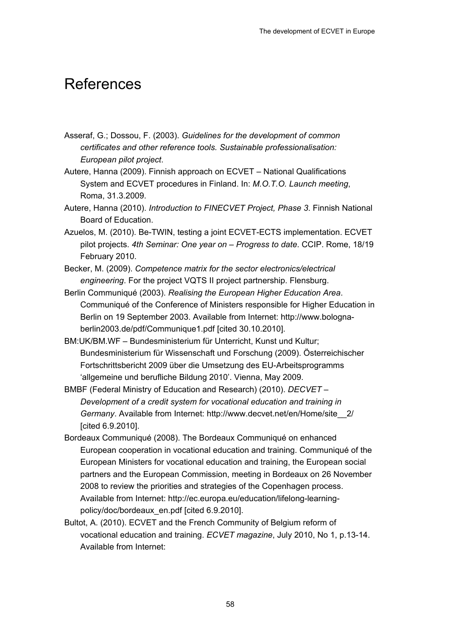## References

- Asseraf, G.; Dossou, F. (2003). *Guidelines for the development of common certificates and other reference tools. Sustainable professionalisation: European pilot project*.
- Autere, Hanna (2009). Finnish approach on ECVET National Qualifications System and ECVET procedures in Finland. In: *M.O.T.O. Launch meeting*, Roma, 31.3.2009.
- Autere, Hanna (2010). *Introduction to FINECVET Project, Phase 3*. Finnish National Board of Education.
- Azuelos, M. (2010). Be-TWIN, testing a joint ECVET-ECTS implementation. ECVET pilot projects. *4th Seminar: One year on – Progress to date*. CCIP. Rome, 18/19 February 2010.
- Becker, M. (2009). *Competence matrix for the sector electronics/electrical engineering*. For the project VQTS II project partnership. Flensburg.
- Berlin Communiqué (2003). *Realising the European Higher Education Area*. Communiqué of the Conference of Ministers responsible for Higher Education in Berlin on 19 September 2003. Available from Internet: http://www.bolognaberlin2003.de/pdf/Communique1.pdf [cited 30.10.2010].
- BM:UK/BM.WF Bundesministerium für Unterricht, Kunst und Kultur; Bundesministerium für Wissenschaft und Forschung (2009). Österreichischer Fortschrittsbericht 2009 über die Umsetzung des EU-Arbeitsprogramms 'allgemeine und berufliche Bildung 2010'. Vienna, May 2009.
- BMBF (Federal Ministry of Education and Research) (2010). *DECVET Development of a credit system for vocational education and training in Germany*. Available from Internet: http://www.decvet.net/en/Home/site\_\_2/ [cited 6.9.2010].
- Bordeaux Communiqué (2008). The Bordeaux Communiqué on enhanced European cooperation in vocational education and training. Communiqué of the European Ministers for vocational education and training, the European social partners and the European Commission, meeting in Bordeaux on 26 November 2008 to review the priorities and strategies of the Copenhagen process. Available from Internet: http://ec.europa.eu/education/lifelong-learningpolicy/doc/bordeaux\_en.pdf [cited 6.9.2010].
- Bultot, A. (2010). ECVET and the French Community of Belgium reform of vocational education and training. *ECVET magazine*, July 2010, No 1, p.13-14. Available from Internet: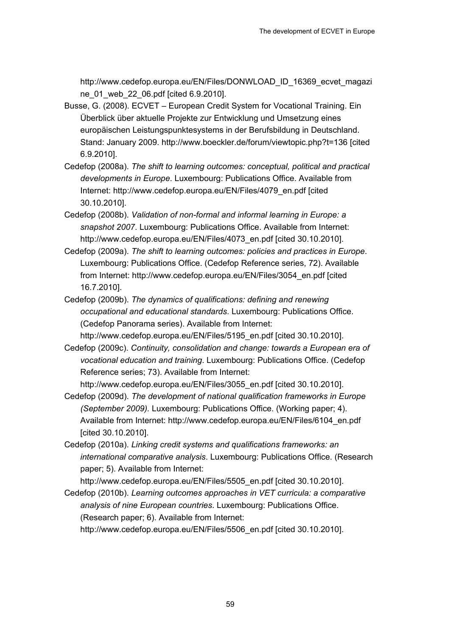http://www.cedefop.europa.eu/EN/Files/DONWLOAD\_ID\_16369\_ecvet\_magazi ne\_01\_web\_22\_06.pdf [cited 6.9.2010].

- Busse, G. (2008). ECVET European Credit System for Vocational Training. Ein Überblick über aktuelle Projekte zur Entwicklung und Umsetzung eines europäischen Leistungspunktesystems in der Berufsbildung in Deutschland. Stand: January 2009. http://www.boeckler.de/forum/viewtopic.php?t=136 [cited 6.9.2010].
- Cedefop (2008a). *The shift to learning outcomes: conceptual, political and practical developments in Europe*. Luxembourg: Publications Office. Available from Internet: http://www.cedefop.europa.eu/EN/Files/4079\_en.pdf [cited 30.10.2010].
- Cedefop (2008b). *Validation of non-formal and informal learning in Europe: a snapshot 2007*. Luxembourg: Publications Office. Available from Internet: http://www.cedefop.europa.eu/EN/Files/4073\_en.pdf [cited 30.10.2010].
- Cedefop (2009a). *The shift to learning outcomes: policies and practices in Europe*. Luxembourg: Publications Office. (Cedefop Reference series, 72). Available from Internet: http://www.cedefop.europa.eu/EN/Files/3054\_en.pdf [cited 16.7.2010].
- Cedefop (2009b). *The dynamics of qualifications: defining and renewing occupational and educational standards*. Luxembourg: Publications Office. (Cedefop Panorama series). Available from Internet: http://www.cedefop.europa.eu/EN/Files/5195\_en.pdf [cited 30.10.2010].
- Cedefop (2009c). *Continuity, consolidation and change: towards a European era of vocational education and training*. Luxembourg: Publications Office. (Cedefop Reference series; 73). Available from Internet:

http://www.cedefop.europa.eu/EN/Files/3055\_en.pdf [cited 30.10.2010].

- Cedefop (2009d). *The development of national qualification frameworks in Europe (September 2009).* Luxembourg: Publications Office. (Working paper; 4). Available from Internet: http://www.cedefop.europa.eu/EN/Files/6104\_en.pdf [cited 30.10.2010].
- Cedefop (2010a). *Linking credit systems and qualifications frameworks: an international comparative analysis*. Luxembourg: Publications Office. (Research paper; 5). Available from Internet:

http://www.cedefop.europa.eu/EN/Files/5505\_en.pdf [cited 30.10.2010].

Cedefop (2010b). *Learning outcomes approaches in VET curricula: a comparative analysis of nine European countries*. Luxembourg: Publications Office. (Research paper; 6). Available from Internet: http://www.cedefop.europa.eu/EN/Files/5506\_en.pdf [cited 30.10.2010].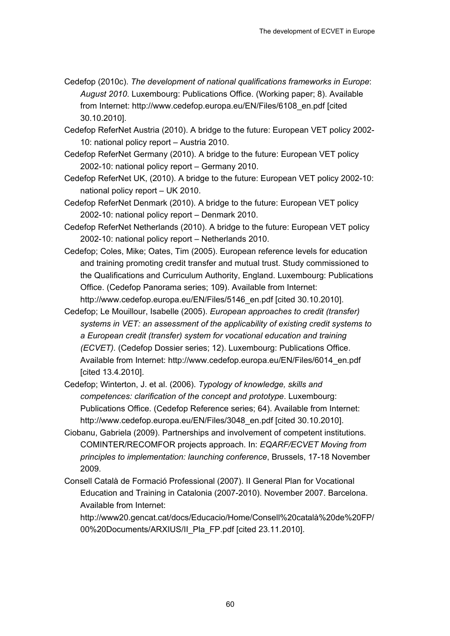- Cedefop (2010c). *The development of national qualifications frameworks in Europe*: *August 2010*. Luxembourg: Publications Office. (Working paper; 8). Available from Internet: http://www.cedefop.europa.eu/EN/Files/6108\_en.pdf [cited 30.10.2010].
- Cedefop ReferNet Austria (2010). A bridge to the future: European VET policy 2002- 10: national policy report – Austria 2010.
- Cedefop ReferNet Germany (2010). A bridge to the future: European VET policy 2002-10: national policy report – Germany 2010.
- Cedefop ReferNet UK, (2010). A bridge to the future: European VET policy 2002-10: national policy report – UK 2010.
- Cedefop ReferNet Denmark (2010). A bridge to the future: European VET policy 2002-10: national policy report – Denmark 2010.
- Cedefop ReferNet Netherlands (2010). A bridge to the future: European VET policy 2002-10: national policy report – Netherlands 2010.
- Cedefop; Coles, Mike; Oates, Tim (2005). European reference levels for education and training promoting credit transfer and mutual trust. Study commissioned to the Qualifications and Curriculum Authority, England. Luxembourg: Publications Office. (Cedefop Panorama series; 109). Available from Internet: http://www.cedefop.europa.eu/EN/Files/5146\_en.pdf [cited 30.10.2010].
- Cedefop; Le Mouillour, Isabelle (2005). *European approaches to credit (transfer) systems in VET: an assessment of the applicability of existing credit systems to a European credit (transfer) system for vocational education and training (ECVET).* (Cedefop Dossier series; 12). Luxembourg: Publications Office. Available from Internet: http://www.cedefop.europa.eu/EN/Files/6014\_en.pdf [cited 13.4.2010].
- Cedefop; Winterton, J. et al. (2006). *Typology of knowledge, skills and competences: clarification of the concept and prototype*. Luxembourg: Publications Office. (Cedefop Reference series; 64). Available from Internet: http://www.cedefop.europa.eu/EN/Files/3048\_en.pdf [cited 30.10.2010].
- Ciobanu, Gabriela (2009). Partnerships and involvement of competent institutions. COMINTER/RECOMFOR projects approach. In: *EQARF/ECVET Moving from principles to implementation: launching conference*, Brussels, 17-18 November 2009.
- Consell Català de Formació Professional (2007). II General Plan for Vocational Education and Training in Catalonia (2007-2010). November 2007. Barcelona. Available from Internet:

http://www20.gencat.cat/docs/Educacio/Home/Consell%20català%20de%20FP/ 00%20Documents/ARXIUS/II\_Pla\_FP.pdf [cited 23.11.2010].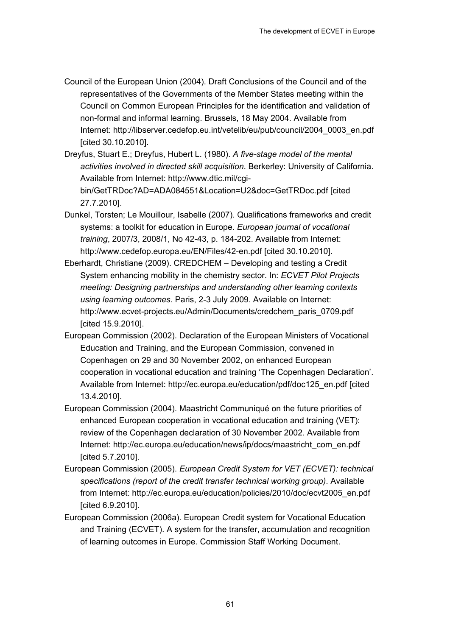- Council of the European Union (2004). Draft Conclusions of the Council and of the representatives of the Governments of the Member States meeting within the Council on Common European Principles for the identification and validation of non-formal and informal learning. Brussels, 18 May 2004. Available from Internet: http://libserver.cedefop.eu.int/vetelib/eu/pub/council/2004\_0003\_en.pdf [cited 30.10.2010].
- Dreyfus, Stuart E.; Dreyfus, Hubert L. (1980). *A five-stage model of the mental activities involved in directed skill acquisition*. Berkerley: University of California. Available from Internet: http://www.dtic.mil/cgibin/GetTRDoc?AD=ADA084551&Location=U2&doc=GetTRDoc.pdf [cited 27.7.2010].
- Dunkel, Torsten; Le Mouillour, Isabelle (2007). Qualifications frameworks and credit systems: a toolkit for education in Europe. *European journal of vocational training*, 2007/3, 2008/1, No 42-43, p. 184-202. Available from Internet: http://www.cedefop.europa.eu/EN/Files/42-en.pdf [cited 30.10.2010].
- Eberhardt, Christiane (2009). CREDCHEM Developing and testing a Credit System enhancing mobility in the chemistry sector. In: *ECVET Pilot Projects meeting: Designing partnerships and understanding other learning contexts using learning outcomes*. Paris, 2-3 July 2009. Available on Internet: http://www.ecvet-projects.eu/Admin/Documents/credchem\_paris\_0709.pdf [cited 15.9.2010].
- European Commission (2002). Declaration of the European Ministers of Vocational Education and Training, and the European Commission, convened in Copenhagen on 29 and 30 November 2002, on enhanced European cooperation in vocational education and training 'The Copenhagen Declaration'. Available from Internet: http://ec.europa.eu/education/pdf/doc125\_en.pdf [cited 13.4.2010].
- European Commission (2004). Maastricht Communiqué on the future priorities of enhanced European cooperation in vocational education and training (VET): review of the Copenhagen declaration of 30 November 2002. Available from Internet: http://ec.europa.eu/education/news/ip/docs/maastricht\_com\_en.pdf [cited 5.7.2010].
- European Commission (2005). *European Credit System for VET (ECVET): technical specifications (report of the credit transfer technical working group)*. Available from Internet: http://ec.europa.eu/education/policies/2010/doc/ecvt2005\_en.pdf [cited 6.9.2010].
- European Commission (2006a). European Credit system for Vocational Education and Training (ECVET). A system for the transfer, accumulation and recognition of learning outcomes in Europe. Commission Staff Working Document.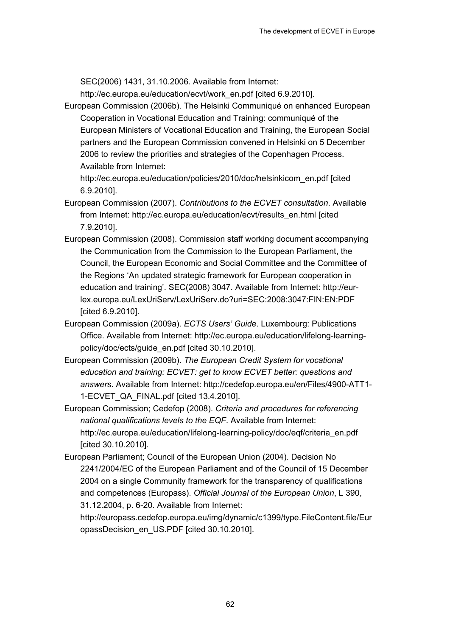SEC(2006) 1431, 31.10.2006. Available from Internet:

http://ec.europa.eu/education/ecvt/work\_en.pdf [cited 6.9.2010].

European Commission (2006b). The Helsinki Communiqué on enhanced European Cooperation in Vocational Education and Training: communiqué of the European Ministers of Vocational Education and Training, the European Social partners and the European Commission convened in Helsinki on 5 December 2006 to review the priorities and strategies of the Copenhagen Process. Available from Internet:

http://ec.europa.eu/education/policies/2010/doc/helsinkicom\_en.pdf [cited 6.9.2010].

European Commission (2007). *Contributions to the ECVET consultation*. Available from Internet: http://ec.europa.eu/education/ecvt/results\_en.html [cited 7.9.2010].

- European Commission (2008). Commission staff working document accompanying the Communication from the Commission to the European Parliament, the Council, the European Economic and Social Committee and the Committee of the Regions 'An updated strategic framework for European cooperation in education and training'. SEC(2008) 3047. Available from Internet: http://eurlex.europa.eu/LexUriServ/LexUriServ.do?uri=SEC:2008:3047:FIN:EN:PDF [cited 6.9.2010].
- European Commission (2009a). *ECTS Users' Guide*. Luxembourg: Publications Office. Available from Internet: http://ec.europa.eu/education/lifelong-learningpolicy/doc/ects/guide\_en.pdf [cited 30.10.2010].
- European Commission (2009b). *The European Credit System for vocational education and training: ECVET: get to know ECVET better: questions and answers*. Available from Internet: http://cedefop.europa.eu/en/Files/4900-ATT1- 1-ECVET\_QA\_FINAL.pdf [cited 13.4.2010].
- European Commission; Cedefop (2008). *Criteria and procedures for referencing national qualifications levels to the EQF*. Available from Internet: http://ec.europa.eu/education/lifelong-learning-policy/doc/eqf/criteria\_en.pdf [cited 30.10.2010].
- European Parliament; Council of the European Union (2004). Decision No 2241/2004/EC of the European Parliament and of the Council of 15 December 2004 on a single Community framework for the transparency of qualifications and competences (Europass). *Official Journal of the European Union*, L 390, 31.12.2004, p. 6-20. Available from Internet:

http://europass.cedefop.europa.eu/img/dynamic/c1399/type.FileContent.file/Eur opassDecision\_en\_US.PDF [cited 30.10.2010].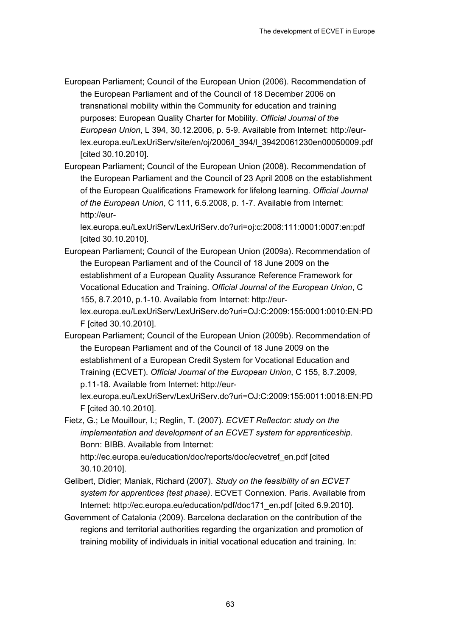- European Parliament; Council of the European Union (2006). Recommendation of the European Parliament and of the Council of 18 December 2006 on transnational mobility within the Community for education and training purposes: European Quality Charter for Mobility. *Official Journal of the European Union*, L 394, 30.12.2006, p. 5-9. Available from Internet: http://eurlex.europa.eu/LexUriServ/site/en/oj/2006/l\_394/l\_39420061230en00050009.pdf [cited 30.10.2010].
- European Parliament; Council of the European Union (2008). Recommendation of the European Parliament and the Council of 23 April 2008 on the establishment of the European Qualifications Framework for lifelong learning. *Official Journal of the European Union*, C 111, 6.5.2008, p. 1-7. Available from Internet: http://eur-

lex.europa.eu/LexUriServ/LexUriServ.do?uri=oj:c:2008:111:0001:0007:en:pdf [cited 30.10.2010].

- European Parliament; Council of the European Union (2009a). Recommendation of the European Parliament and of the Council of 18 June 2009 on the establishment of a European Quality Assurance Reference Framework for Vocational Education and Training. *Official Journal of the European Union*, C 155, 8.7.2010, p.1-10. Available from Internet: http://eurlex.europa.eu/LexUriServ/LexUriServ.do?uri=OJ:C:2009:155:0001:0010:EN:PD F [cited 30.10.2010].
- European Parliament; Council of the European Union (2009b). Recommendation of the European Parliament and of the Council of 18 June 2009 on the establishment of a European Credit System for Vocational Education and Training (ECVET). *Official Journal of the European Union*, C 155, 8.7.2009, p.11-18. Available from Internet: http://eurlex.europa.eu/LexUriServ/LexUriServ.do?uri=OJ:C:2009:155:0011:0018:EN:PD F [cited 30.10.2010].
- Fietz, G.; Le Mouillour, I.; Reglin, T. (2007). *ECVET Reflector: study on the implementation and development of an ECVET system for apprenticeship*. Bonn: BIBB. Available from Internet:

http://ec.europa.eu/education/doc/reports/doc/ecvetref\_en.pdf [cited 30.10.2010].

- Gelibert, Didier; Maniak, Richard (2007). *Study on the feasibility of an ECVET system for apprentices (test phase)*. ECVET Connexion. Paris. Available from Internet: http://ec.europa.eu/education/pdf/doc171\_en.pdf [cited 6.9.2010].
- Government of Catalonia (2009). Barcelona declaration on the contribution of the regions and territorial authorities regarding the organization and promotion of training mobility of individuals in initial vocational education and training. In: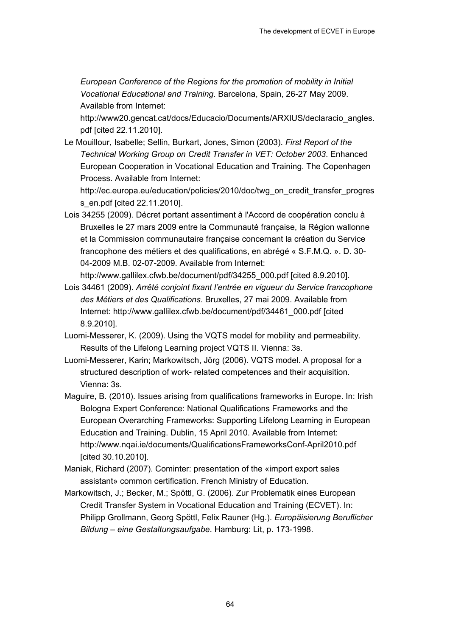*European Conference of the Regions for the promotion of mobility in Initial Vocational Educational and Training*. Barcelona, Spain, 26-27 May 2009. Available from Internet:

http://www20.gencat.cat/docs/Educacio/Documents/ARXIUS/declaracio\_angles. pdf [cited 22.11.2010].

Le Mouillour, Isabelle; Sellin, Burkart, Jones, Simon (2003). *First Report of the Technical Working Group on Credit Transfer in VET: October 2003*. Enhanced European Cooperation in Vocational Education and Training. The Copenhagen Process. Available from Internet:

http://ec.europa.eu/education/policies/2010/doc/twg\_on\_credit\_transfer\_progres s\_en.pdf [cited 22.11.2010].

Lois 34255 (2009). Décret portant assentiment à l'Accord de coopération conclu à Bruxelles le 27 mars 2009 entre la Communauté française, la Région wallonne et la Commission communautaire française concernant la création du Service francophone des métiers et des qualifications, en abrégé « S.F.M.Q. ». D. 30- 04-2009 M.B. 02-07-2009. Available from Internet:

http://www.gallilex.cfwb.be/document/pdf/34255\_000.pdf [cited 8.9.2010].

- Lois 34461 (2009). *Arrêté conjoint fixant l'entrée en vigueur du Service francophone des Métiers et des Qualifications*. Bruxelles, 27 mai 2009. Available from Internet: http://www.gallilex.cfwb.be/document/pdf/34461\_000.pdf [cited 8.9.2010].
- Luomi-Messerer, K. (2009). Using the VQTS model for mobility and permeability. Results of the Lifelong Learning project VQTS II. Vienna: 3s.
- Luomi-Messerer, Karin; Markowitsch, Jörg (2006). VQTS model. A proposal for a structured description of work- related competences and their acquisition. Vienna: 3s.
- Maguire, B. (2010). Issues arising from qualifications frameworks in Europe. In: Irish Bologna Expert Conference: National Qualifications Frameworks and the European Overarching Frameworks: Supporting Lifelong Learning in European Education and Training. Dublin, 15 April 2010. Available from Internet: http://www.nqai.ie/documents/QualificationsFrameworksConf-April2010.pdf [cited 30.10.2010].
- Maniak, Richard (2007). Cominter: presentation of the «import export sales assistant» common certification. French Ministry of Education.
- Markowitsch, J.; Becker, M.; Spöttl, G. (2006). Zur Problematik eines European Credit Transfer System in Vocational Education and Training (ECVET). In: Philipp Grollmann, Georg Spöttl, Felix Rauner (Hg.). *Europäisierung Beruflicher Bildung – eine Gestaltungsaufgabe*. Hamburg: Lit, p. 173-1998.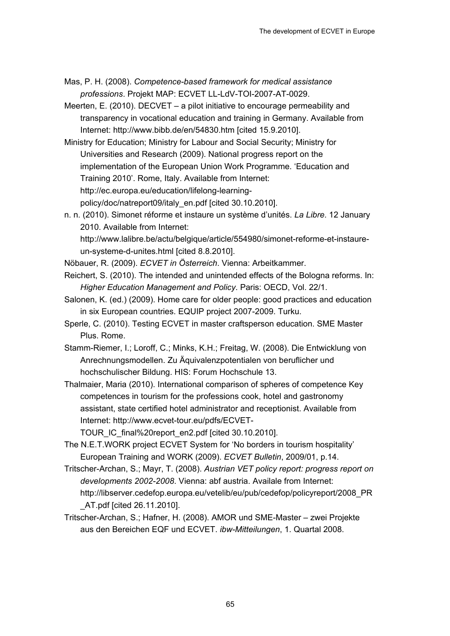- Mas, P. H. (2008). *Competence-based framework for medical assistance professions*. Projekt MAP: ECVET LL-LdV-TOI-2007-AT-0029.
- Meerten, E. (2010). DECVET a pilot initiative to encourage permeability and transparency in vocational education and training in Germany. Available from Internet: http://www.bibb.de/en/54830.htm [cited 15.9.2010].
- Ministry for Education; Ministry for Labour and Social Security; Ministry for Universities and Research (2009). National progress report on the implementation of the European Union Work Programme. 'Education and Training 2010'. Rome, Italy. Available from Internet: http://ec.europa.eu/education/lifelong-learningpolicy/doc/natreport09/italy\_en.pdf [cited 30.10.2010].
- n. n. (2010). Simonet réforme et instaure un système d'unités. *La Libre*. 12 January 2010. Available from Internet: http://www.lalibre.be/actu/belgique/article/554980/simonet-reforme-et-instaureun-systeme-d-unites.html [cited 8.8.2010].
- Nöbauer, R. (2009). *ECVET in Österreich*. Vienna: Arbeitkammer.
- Reichert, S. (2010). The intended and unintended effects of the Bologna reforms. In: *Higher Education Management and Policy*. Paris: OECD, Vol. 22/1.
- Salonen, K. (ed.) (2009). Home care for older people: good practices and education in six European countries. EQUIP project 2007-2009. Turku.
- Sperle, C. (2010). Testing ECVET in master craftsperson education. SME Master Plus. Rome.
- Stamm-Riemer, I.; Loroff, C.; Minks, K.H.; Freitag, W. (2008). Die Entwicklung von Anrechnungsmodellen. Zu Äquivalenzpotentialen von beruflicher und hochschulischer Bildung. HIS: Forum Hochschule 13.
- Thalmaier, Maria (2010). International comparison of spheres of competence Key competences in tourism for the professions cook, hotel and gastronomy assistant, state certified hotel administrator and receptionist. Available from Internet: http://www.ecvet-tour.eu/pdfs/ECVET-
	- TOUR\_IC\_final%20report\_en2.pdf [cited 30.10.2010].
- The N.E.T.WORK project ECVET System for 'No borders in tourism hospitality' European Training and WORK (2009). *ECVET Bulletin*, 2009/01, p.14.
- Tritscher-Archan, S.; Mayr, T. (2008). *Austrian VET policy report: progress report on developments 2002-2008*. Vienna: abf austria. Availale from Internet: http://libserver.cedefop.europa.eu/vetelib/eu/pub/cedefop/policyreport/2008\_PR \_AT.pdf [cited 26.11.2010].
- Tritscher-Archan, S.; Hafner, H. (2008). AMOR und SME-Master zwei Projekte aus den Bereichen EQF und ECVET. *ibw-Mitteilungen*, 1. Quartal 2008.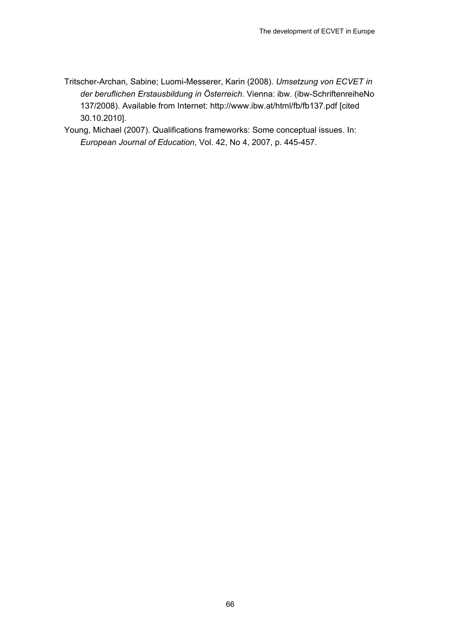- Tritscher-Archan, Sabine; Luomi-Messerer, Karin (2008). *Umsetzung von ECVET in der beruflichen Erstausbildung in Österreich*. Vienna: ibw. (ibw-SchriftenreiheNo 137/2008). Available from Internet: http://www.ibw.at/html/fb/fb137.pdf [cited 30.10.2010].
- Young, Michael (2007). Qualifications frameworks: Some conceptual issues. In: *European Journal of Education*, Vol. 42, No 4, 2007, p. 445-457.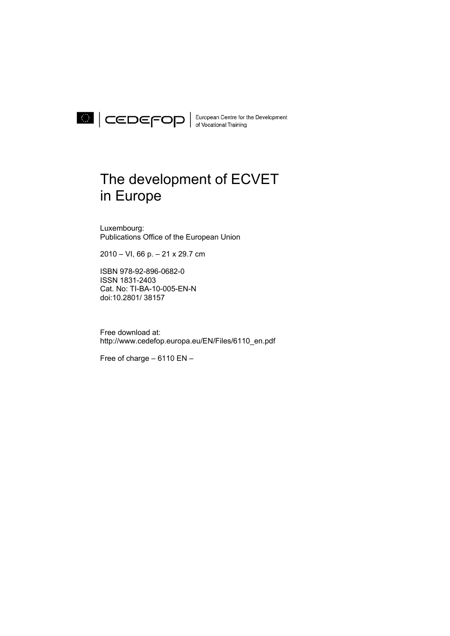

European Centre for the Development

## The development of ECVET in Europe

Luxembourg: Publications Office of the European Union

2010 – VI, 66 p. – 21 x 29.7 cm

ISBN 978-92-896-0682-0 ISSN 1831-2403 Cat. No: TI-BA-10-005-EN-N doi:10.2801/ 38157

Free download at: http://www.cedefop.europa.eu/EN/Files/6110\_en.pdf

Free of charge – 6110 EN –